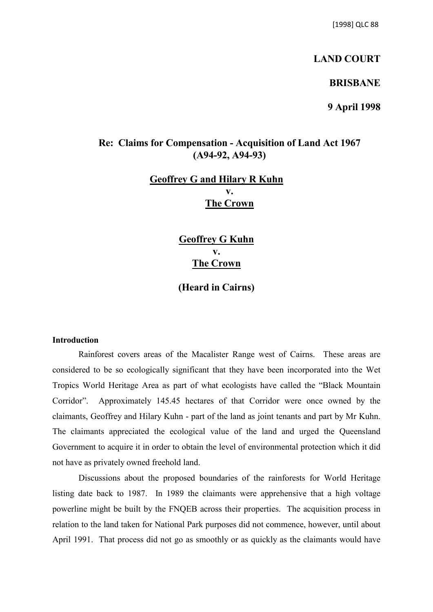## **LAND COURT**

## **BRISBANE**

**9 April 1998**

## **Re: Claims for Compensation - Acquisition of Land Act 1967 (A94-92, A94-93)**

# **Geoffrey G and Hilary R Kuhn v. The Crown**

**Geoffrey G Kuhn v. The Crown**

**(Heard in Cairns)**

## **Introduction**

Rainforest covers areas of the Macalister Range west of Cairns. These areas are considered to be so ecologically significant that they have been incorporated into the Wet Tropics World Heritage Area as part of what ecologists have called the "Black Mountain Corridor". Approximately 145.45 hectares of that Corridor were once owned by the claimants, Geoffrey and Hilary Kuhn - part of the land as joint tenants and part by Mr Kuhn. The claimants appreciated the ecological value of the land and urged the Queensland Government to acquire it in order to obtain the level of environmental protection which it did not have as privately owned freehold land.

Discussions about the proposed boundaries of the rainforests for World Heritage listing date back to 1987. In 1989 the claimants were apprehensive that a high voltage powerline might be built by the FNQEB across their properties. The acquisition process in relation to the land taken for National Park purposes did not commence, however, until about April 1991. That process did not go as smoothly or as quickly as the claimants would have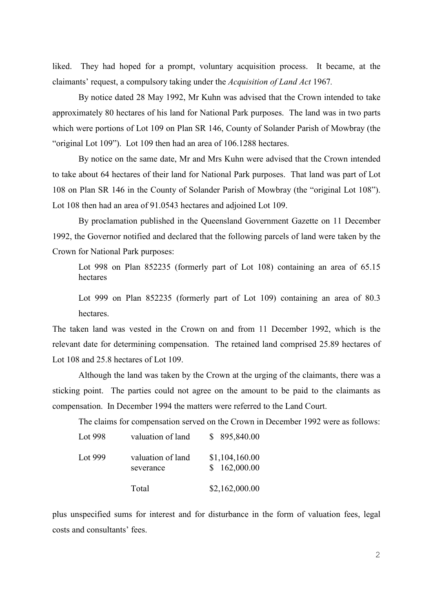liked. They had hoped for a prompt, voluntary acquisition process. It became, at the claimants' request, a compulsory taking under the *Acquisition of Land Act* 1967*.*

By notice dated 28 May 1992, Mr Kuhn was advised that the Crown intended to take approximately 80 hectares of his land for National Park purposes. The land was in two parts which were portions of Lot 109 on Plan SR 146, County of Solander Parish of Mowbray (the "original Lot 109"). Lot 109 then had an area of 106.1288 hectares.

By notice on the same date, Mr and Mrs Kuhn were advised that the Crown intended to take about 64 hectares of their land for National Park purposes. That land was part of Lot 108 on Plan SR 146 in the County of Solander Parish of Mowbray (the "original Lot 108"). Lot 108 then had an area of 91.0543 hectares and adjoined Lot 109.

By proclamation published in the Queensland Government Gazette on 11 December 1992, the Governor notified and declared that the following parcels of land were taken by the Crown for National Park purposes:

Lot 998 on Plan 852235 (formerly part of Lot 108) containing an area of 65.15 hectares

Lot 999 on Plan 852235 (formerly part of Lot 109) containing an area of 80.3 hectares.

The taken land was vested in the Crown on and from 11 December 1992, which is the relevant date for determining compensation. The retained land comprised 25.89 hectares of Lot 108 and 25.8 hectares of Lot 109.

Although the land was taken by the Crown at the urging of the claimants, there was a sticking point. The parties could not agree on the amount to be paid to the claimants as compensation. In December 1994 the matters were referred to the Land Court.

The claims for compensation served on the Crown in December 1992 were as follows:

| Lot 998 | valuation of land              | \$895,840.00                   |
|---------|--------------------------------|--------------------------------|
| Lot 999 | valuation of land<br>severance | \$1,104,160.00<br>\$162,000.00 |
|         | Total                          | \$2,162,000.00                 |

plus unspecified sums for interest and for disturbance in the form of valuation fees, legal costs and consultants' fees.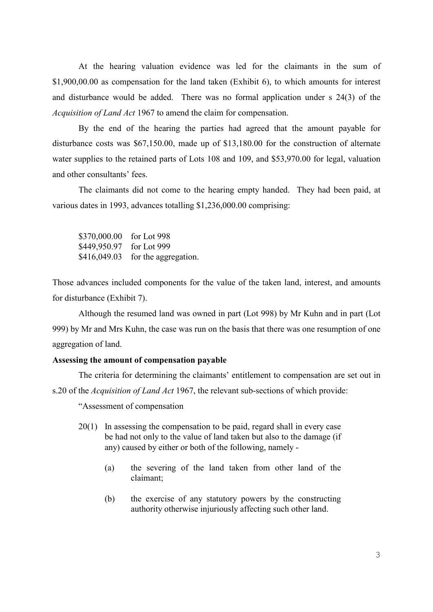At the hearing valuation evidence was led for the claimants in the sum of \$1,900,00.00 as compensation for the land taken (Exhibit 6), to which amounts for interest and disturbance would be added. There was no formal application under s 24(3) of the *Acquisition of Land Act* 1967 to amend the claim for compensation.

By the end of the hearing the parties had agreed that the amount payable for disturbance costs was \$67,150.00, made up of \$13,180.00 for the construction of alternate water supplies to the retained parts of Lots 108 and 109, and \$53,970.00 for legal, valuation and other consultants' fees.

The claimants did not come to the hearing empty handed. They had been paid, at various dates in 1993, advances totalling \$1,236,000.00 comprising:

\$370,000.00 for Lot 998 \$449,950.97 for Lot 999 \$416,049.03 for the aggregation.

Those advances included components for the value of the taken land, interest, and amounts for disturbance (Exhibit 7).

Although the resumed land was owned in part (Lot 998) by Mr Kuhn and in part (Lot 999) by Mr and Mrs Kuhn, the case was run on the basis that there was one resumption of one aggregation of land.

#### **Assessing the amount of compensation payable**

The criteria for determining the claimants' entitlement to compensation are set out in s.20 of the *Acquisition of Land Act* 1967, the relevant sub-sections of which provide:

"Assessment of compensation

- 20(1) In assessing the compensation to be paid, regard shall in every case be had not only to the value of land taken but also to the damage (if any) caused by either or both of the following, namely -
	- (a) the severing of the land taken from other land of the claimant;
	- (b) the exercise of any statutory powers by the constructing authority otherwise injuriously affecting such other land.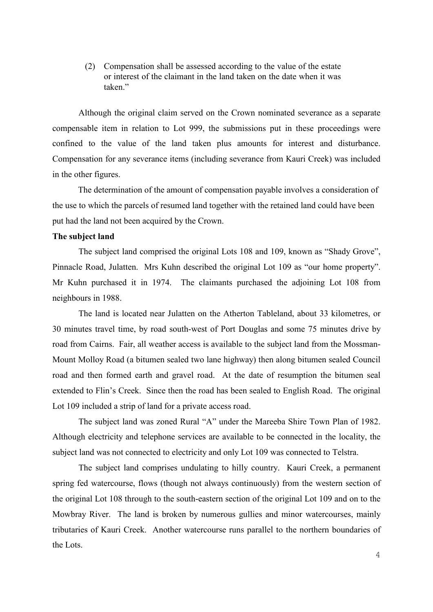(2) Compensation shall be assessed according to the value of the estate or interest of the claimant in the land taken on the date when it was taken"

Although the original claim served on the Crown nominated severance as a separate compensable item in relation to Lot 999, the submissions put in these proceedings were confined to the value of the land taken plus amounts for interest and disturbance. Compensation for any severance items (including severance from Kauri Creek) was included in the other figures.

The determination of the amount of compensation payable involves a consideration of the use to which the parcels of resumed land together with the retained land could have been put had the land not been acquired by the Crown.

## **The subject land**

The subject land comprised the original Lots 108 and 109, known as "Shady Grove", Pinnacle Road, Julatten. Mrs Kuhn described the original Lot 109 as "our home property". Mr Kuhn purchased it in 1974. The claimants purchased the adjoining Lot 108 from neighbours in 1988.

The land is located near Julatten on the Atherton Tableland, about 33 kilometres, or 30 minutes travel time, by road south-west of Port Douglas and some 75 minutes drive by road from Cairns. Fair, all weather access is available to the subject land from the Mossman-Mount Molloy Road (a bitumen sealed two lane highway) then along bitumen sealed Council road and then formed earth and gravel road. At the date of resumption the bitumen seal extended to Flin's Creek. Since then the road has been sealed to English Road. The original Lot 109 included a strip of land for a private access road.

The subject land was zoned Rural "A" under the Mareeba Shire Town Plan of 1982. Although electricity and telephone services are available to be connected in the locality, the subject land was not connected to electricity and only Lot 109 was connected to Telstra.

The subject land comprises undulating to hilly country. Kauri Creek, a permanent spring fed watercourse, flows (though not always continuously) from the western section of the original Lot 108 through to the south-eastern section of the original Lot 109 and on to the Mowbray River. The land is broken by numerous gullies and minor watercourses, mainly tributaries of Kauri Creek. Another watercourse runs parallel to the northern boundaries of the Lots.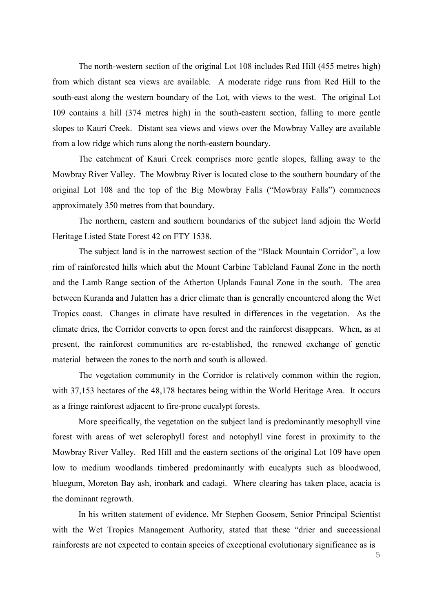The north-western section of the original Lot 108 includes Red Hill (455 metres high) from which distant sea views are available. A moderate ridge runs from Red Hill to the south-east along the western boundary of the Lot, with views to the west. The original Lot 109 contains a hill (374 metres high) in the south-eastern section, falling to more gentle slopes to Kauri Creek. Distant sea views and views over the Mowbray Valley are available from a low ridge which runs along the north-eastern boundary.

The catchment of Kauri Creek comprises more gentle slopes, falling away to the Mowbray River Valley. The Mowbray River is located close to the southern boundary of the original Lot 108 and the top of the Big Mowbray Falls ("Mowbray Falls") commences approximately 350 metres from that boundary.

The northern, eastern and southern boundaries of the subject land adjoin the World Heritage Listed State Forest 42 on FTY 1538.

The subject land is in the narrowest section of the "Black Mountain Corridor", a low rim of rainforested hills which abut the Mount Carbine Tableland Faunal Zone in the north and the Lamb Range section of the Atherton Uplands Faunal Zone in the south. The area between Kuranda and Julatten has a drier climate than is generally encountered along the Wet Tropics coast. Changes in climate have resulted in differences in the vegetation. As the climate dries, the Corridor converts to open forest and the rainforest disappears. When, as at present, the rainforest communities are re-established, the renewed exchange of genetic material between the zones to the north and south is allowed.

The vegetation community in the Corridor is relatively common within the region, with 37,153 hectares of the 48,178 hectares being within the World Heritage Area. It occurs as a fringe rainforest adjacent to fire-prone eucalypt forests.

More specifically, the vegetation on the subject land is predominantly mesophyll vine forest with areas of wet sclerophyll forest and notophyll vine forest in proximity to the Mowbray River Valley. Red Hill and the eastern sections of the original Lot 109 have open low to medium woodlands timbered predominantly with eucalypts such as bloodwood, bluegum, Moreton Bay ash, ironbark and cadagi. Where clearing has taken place, acacia is the dominant regrowth.

In his written statement of evidence, Mr Stephen Goosem, Senior Principal Scientist with the Wet Tropics Management Authority, stated that these "drier and successional rainforests are not expected to contain species of exceptional evolutionary significance as is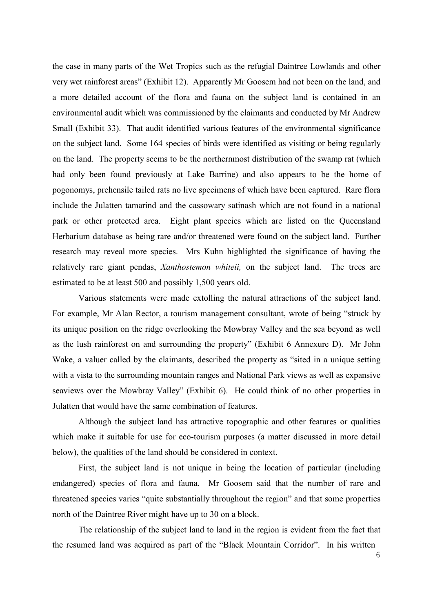the case in many parts of the Wet Tropics such as the refugial Daintree Lowlands and other very wet rainforest areas" (Exhibit 12). Apparently Mr Goosem had not been on the land, and a more detailed account of the flora and fauna on the subject land is contained in an environmental audit which was commissioned by the claimants and conducted by Mr Andrew Small (Exhibit 33). That audit identified various features of the environmental significance on the subject land. Some 164 species of birds were identified as visiting or being regularly on the land. The property seems to be the northernmost distribution of the swamp rat (which had only been found previously at Lake Barrine) and also appears to be the home of pogonomys, prehensile tailed rats no live specimens of which have been captured. Rare flora include the Julatten tamarind and the cassowary satinash which are not found in a national park or other protected area. Eight plant species which are listed on the Queensland Herbarium database as being rare and/or threatened were found on the subject land. Further research may reveal more species. Mrs Kuhn highlighted the significance of having the relatively rare giant pendas, *Xanthostemon whiteii,* on the subject land. The trees are estimated to be at least 500 and possibly 1,500 years old.

Various statements were made extolling the natural attractions of the subject land. For example, Mr Alan Rector, a tourism management consultant, wrote of being "struck by its unique position on the ridge overlooking the Mowbray Valley and the sea beyond as well as the lush rainforest on and surrounding the property" (Exhibit 6 Annexure D). Mr John Wake, a valuer called by the claimants, described the property as "sited in a unique setting with a vista to the surrounding mountain ranges and National Park views as well as expansive seaviews over the Mowbray Valley" (Exhibit 6). He could think of no other properties in Julatten that would have the same combination of features.

Although the subject land has attractive topographic and other features or qualities which make it suitable for use for eco-tourism purposes (a matter discussed in more detail below), the qualities of the land should be considered in context.

First, the subject land is not unique in being the location of particular (including endangered) species of flora and fauna. Mr Goosem said that the number of rare and threatened species varies "quite substantially throughout the region" and that some properties north of the Daintree River might have up to 30 on a block.

The relationship of the subject land to land in the region is evident from the fact that the resumed land was acquired as part of the "Black Mountain Corridor". In his written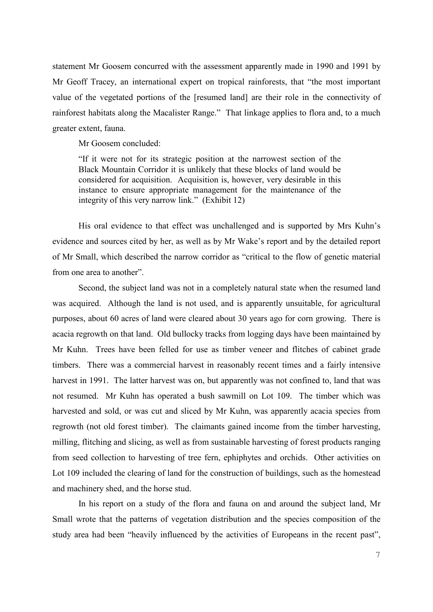statement Mr Goosem concurred with the assessment apparently made in 1990 and 1991 by Mr Geoff Tracey, an international expert on tropical rainforests, that "the most important value of the vegetated portions of the [resumed land] are their role in the connectivity of rainforest habitats along the Macalister Range." That linkage applies to flora and, to a much greater extent, fauna.

Mr Goosem concluded:

"If it were not for its strategic position at the narrowest section of the Black Mountain Corridor it is unlikely that these blocks of land would be considered for acquisition. Acquisition is, however, very desirable in this instance to ensure appropriate management for the maintenance of the integrity of this very narrow link." (Exhibit 12)

His oral evidence to that effect was unchallenged and is supported by Mrs Kuhn's evidence and sources cited by her, as well as by Mr Wake's report and by the detailed report of Mr Small, which described the narrow corridor as "critical to the flow of genetic material from one area to another".

Second, the subject land was not in a completely natural state when the resumed land was acquired. Although the land is not used, and is apparently unsuitable, for agricultural purposes, about 60 acres of land were cleared about 30 years ago for corn growing. There is acacia regrowth on that land. Old bullocky tracks from logging days have been maintained by Mr Kuhn. Trees have been felled for use as timber veneer and flitches of cabinet grade timbers. There was a commercial harvest in reasonably recent times and a fairly intensive harvest in 1991. The latter harvest was on, but apparently was not confined to, land that was not resumed. Mr Kuhn has operated a bush sawmill on Lot 109. The timber which was harvested and sold, or was cut and sliced by Mr Kuhn, was apparently acacia species from regrowth (not old forest timber). The claimants gained income from the timber harvesting, milling, flitching and slicing, as well as from sustainable harvesting of forest products ranging from seed collection to harvesting of tree fern, ephiphytes and orchids. Other activities on Lot 109 included the clearing of land for the construction of buildings, such as the homestead and machinery shed, and the horse stud.

In his report on a study of the flora and fauna on and around the subject land, Mr Small wrote that the patterns of vegetation distribution and the species composition of the study area had been "heavily influenced by the activities of Europeans in the recent past",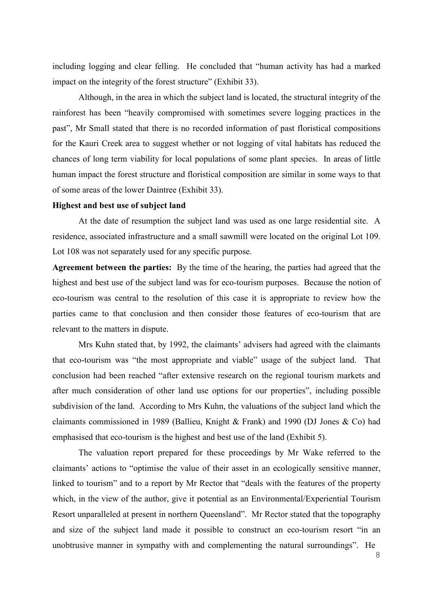including logging and clear felling. He concluded that "human activity has had a marked impact on the integrity of the forest structure" (Exhibit 33).

Although, in the area in which the subject land is located, the structural integrity of the rainforest has been "heavily compromised with sometimes severe logging practices in the past", Mr Small stated that there is no recorded information of past floristical compositions for the Kauri Creek area to suggest whether or not logging of vital habitats has reduced the chances of long term viability for local populations of some plant species. In areas of little human impact the forest structure and floristical composition are similar in some ways to that of some areas of the lower Daintree (Exhibit 33).

#### **Highest and best use of subject land**

At the date of resumption the subject land was used as one large residential site. A residence, associated infrastructure and a small sawmill were located on the original Lot 109. Lot 108 was not separately used for any specific purpose.

**Agreement between the parties:** By the time of the hearing, the parties had agreed that the highest and best use of the subject land was for eco-tourism purposes. Because the notion of eco-tourism was central to the resolution of this case it is appropriate to review how the parties came to that conclusion and then consider those features of eco-tourism that are relevant to the matters in dispute.

Mrs Kuhn stated that, by 1992, the claimants' advisers had agreed with the claimants that eco-tourism was "the most appropriate and viable" usage of the subject land. That conclusion had been reached "after extensive research on the regional tourism markets and after much consideration of other land use options for our properties", including possible subdivision of the land. According to Mrs Kuhn, the valuations of the subject land which the claimants commissioned in 1989 (Ballieu, Knight & Frank) and 1990 (DJ Jones & Co) had emphasised that eco-tourism is the highest and best use of the land (Exhibit 5).

The valuation report prepared for these proceedings by Mr Wake referred to the claimants' actions to "optimise the value of their asset in an ecologically sensitive manner, linked to tourism" and to a report by Mr Rector that "deals with the features of the property which, in the view of the author, give it potential as an Environmental/Experiential Tourism Resort unparalleled at present in northern Queensland". Mr Rector stated that the topography and size of the subject land made it possible to construct an eco-tourism resort "in an unobtrusive manner in sympathy with and complementing the natural surroundings". He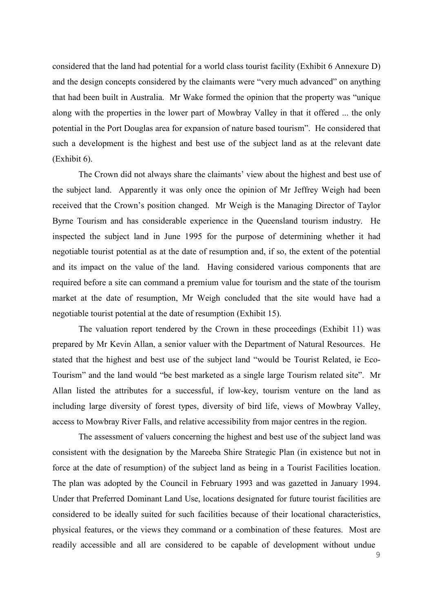considered that the land had potential for a world class tourist facility (Exhibit 6 Annexure D) and the design concepts considered by the claimants were "very much advanced" on anything that had been built in Australia. Mr Wake formed the opinion that the property was "unique along with the properties in the lower part of Mowbray Valley in that it offered ... the only potential in the Port Douglas area for expansion of nature based tourism". He considered that such a development is the highest and best use of the subject land as at the relevant date (Exhibit 6).

The Crown did not always share the claimants' view about the highest and best use of the subject land. Apparently it was only once the opinion of Mr Jeffrey Weigh had been received that the Crown's position changed. Mr Weigh is the Managing Director of Taylor Byrne Tourism and has considerable experience in the Queensland tourism industry. He inspected the subject land in June 1995 for the purpose of determining whether it had negotiable tourist potential as at the date of resumption and, if so, the extent of the potential and its impact on the value of the land. Having considered various components that are required before a site can command a premium value for tourism and the state of the tourism market at the date of resumption, Mr Weigh concluded that the site would have had a negotiable tourist potential at the date of resumption (Exhibit 15).

The valuation report tendered by the Crown in these proceedings (Exhibit 11) was prepared by Mr Kevin Allan, a senior valuer with the Department of Natural Resources. He stated that the highest and best use of the subject land "would be Tourist Related, ie Eco-Tourism" and the land would "be best marketed as a single large Tourism related site". Mr Allan listed the attributes for a successful, if low-key, tourism venture on the land as including large diversity of forest types, diversity of bird life, views of Mowbray Valley, access to Mowbray River Falls, and relative accessibility from major centres in the region.

The assessment of valuers concerning the highest and best use of the subject land was consistent with the designation by the Mareeba Shire Strategic Plan (in existence but not in force at the date of resumption) of the subject land as being in a Tourist Facilities location. The plan was adopted by the Council in February 1993 and was gazetted in January 1994. Under that Preferred Dominant Land Use, locations designated for future tourist facilities are considered to be ideally suited for such facilities because of their locational characteristics, physical features, or the views they command or a combination of these features. Most are readily accessible and all are considered to be capable of development without undue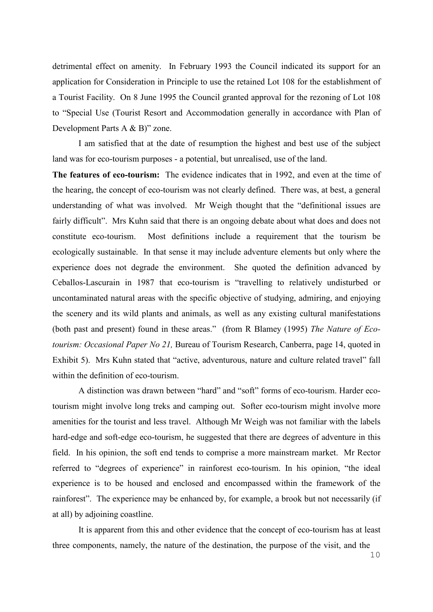detrimental effect on amenity. In February 1993 the Council indicated its support for an application for Consideration in Principle to use the retained Lot 108 for the establishment of a Tourist Facility. On 8 June 1995 the Council granted approval for the rezoning of Lot 108 to "Special Use (Tourist Resort and Accommodation generally in accordance with Plan of Development Parts A & B)" zone.

I am satisfied that at the date of resumption the highest and best use of the subject land was for eco-tourism purposes - a potential, but unrealised, use of the land.

**The features of eco-tourism:** The evidence indicates that in 1992, and even at the time of the hearing, the concept of eco-tourism was not clearly defined. There was, at best, a general understanding of what was involved. Mr Weigh thought that the "definitional issues are fairly difficult". Mrs Kuhn said that there is an ongoing debate about what does and does not constitute eco-tourism. Most definitions include a requirement that the tourism be ecologically sustainable. In that sense it may include adventure elements but only where the experience does not degrade the environment. She quoted the definition advanced by Ceballos-Lascurain in 1987 that eco-tourism is "travelling to relatively undisturbed or uncontaminated natural areas with the specific objective of studying, admiring, and enjoying the scenery and its wild plants and animals, as well as any existing cultural manifestations (both past and present) found in these areas." (from R Blamey (1995) *The Nature of Ecotourism: Occasional Paper No 21,* Bureau of Tourism Research, Canberra, page 14, quoted in Exhibit 5). Mrs Kuhn stated that "active, adventurous, nature and culture related travel" fall within the definition of eco-tourism.

A distinction was drawn between "hard" and "soft" forms of eco-tourism. Harder ecotourism might involve long treks and camping out. Softer eco-tourism might involve more amenities for the tourist and less travel. Although Mr Weigh was not familiar with the labels hard-edge and soft-edge eco-tourism, he suggested that there are degrees of adventure in this field. In his opinion, the soft end tends to comprise a more mainstream market. Mr Rector referred to "degrees of experience" in rainforest eco-tourism. In his opinion, "the ideal experience is to be housed and enclosed and encompassed within the framework of the rainforest". The experience may be enhanced by, for example, a brook but not necessarily (if at all) by adjoining coastline.

It is apparent from this and other evidence that the concept of eco-tourism has at least three components, namely, the nature of the destination, the purpose of the visit, and the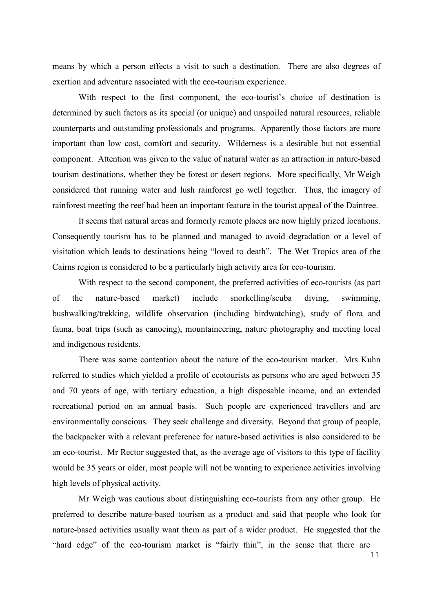means by which a person effects a visit to such a destination. There are also degrees of exertion and adventure associated with the eco-tourism experience.

With respect to the first component, the eco-tourist's choice of destination is determined by such factors as its special (or unique) and unspoiled natural resources, reliable counterparts and outstanding professionals and programs. Apparently those factors are more important than low cost, comfort and security. Wilderness is a desirable but not essential component. Attention was given to the value of natural water as an attraction in nature-based tourism destinations, whether they be forest or desert regions. More specifically, Mr Weigh considered that running water and lush rainforest go well together. Thus, the imagery of rainforest meeting the reef had been an important feature in the tourist appeal of the Daintree.

It seems that natural areas and formerly remote places are now highly prized locations. Consequently tourism has to be planned and managed to avoid degradation or a level of visitation which leads to destinations being "loved to death". The Wet Tropics area of the Cairns region is considered to be a particularly high activity area for eco-tourism.

With respect to the second component, the preferred activities of eco-tourists (as part of the nature-based market) include snorkelling/scuba diving, swimming, bushwalking/trekking, wildlife observation (including birdwatching), study of flora and fauna, boat trips (such as canoeing), mountaineering, nature photography and meeting local and indigenous residents.

There was some contention about the nature of the eco-tourism market. Mrs Kuhn referred to studies which yielded a profile of ecotourists as persons who are aged between 35 and 70 years of age, with tertiary education, a high disposable income, and an extended recreational period on an annual basis. Such people are experienced travellers and are environmentally conscious. They seek challenge and diversity. Beyond that group of people, the backpacker with a relevant preference for nature-based activities is also considered to be an eco-tourist. Mr Rector suggested that, as the average age of visitors to this type of facility would be 35 years or older, most people will not be wanting to experience activities involving high levels of physical activity.

Mr Weigh was cautious about distinguishing eco-tourists from any other group. He preferred to describe nature-based tourism as a product and said that people who look for nature-based activities usually want them as part of a wider product. He suggested that the "hard edge" of the eco-tourism market is "fairly thin", in the sense that there are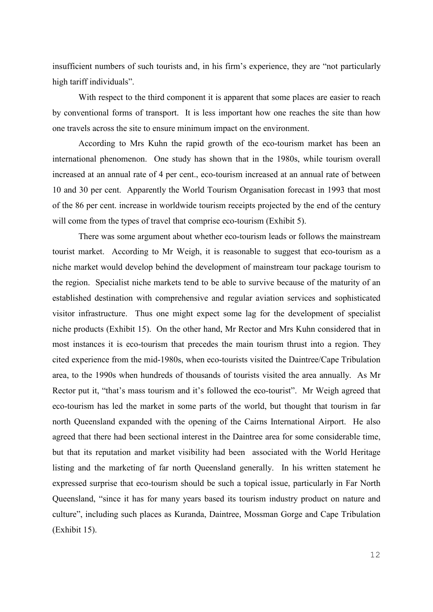insufficient numbers of such tourists and, in his firm's experience, they are "not particularly high tariff individuals".

With respect to the third component it is apparent that some places are easier to reach by conventional forms of transport. It is less important how one reaches the site than how one travels across the site to ensure minimum impact on the environment.

According to Mrs Kuhn the rapid growth of the eco-tourism market has been an international phenomenon. One study has shown that in the 1980s, while tourism overall increased at an annual rate of 4 per cent., eco-tourism increased at an annual rate of between 10 and 30 per cent. Apparently the World Tourism Organisation forecast in 1993 that most of the 86 per cent. increase in worldwide tourism receipts projected by the end of the century will come from the types of travel that comprise eco-tourism (Exhibit 5).

There was some argument about whether eco-tourism leads or follows the mainstream tourist market. According to Mr Weigh, it is reasonable to suggest that eco-tourism as a niche market would develop behind the development of mainstream tour package tourism to the region. Specialist niche markets tend to be able to survive because of the maturity of an established destination with comprehensive and regular aviation services and sophisticated visitor infrastructure. Thus one might expect some lag for the development of specialist niche products (Exhibit 15). On the other hand, Mr Rector and Mrs Kuhn considered that in most instances it is eco-tourism that precedes the main tourism thrust into a region. They cited experience from the mid-1980s, when eco-tourists visited the Daintree/Cape Tribulation area, to the 1990s when hundreds of thousands of tourists visited the area annually. As Mr Rector put it, "that's mass tourism and it's followed the eco-tourist". Mr Weigh agreed that eco-tourism has led the market in some parts of the world, but thought that tourism in far north Queensland expanded with the opening of the Cairns International Airport. He also agreed that there had been sectional interest in the Daintree area for some considerable time, but that its reputation and market visibility had been associated with the World Heritage listing and the marketing of far north Queensland generally. In his written statement he expressed surprise that eco-tourism should be such a topical issue, particularly in Far North Queensland, "since it has for many years based its tourism industry product on nature and culture", including such places as Kuranda, Daintree, Mossman Gorge and Cape Tribulation (Exhibit 15).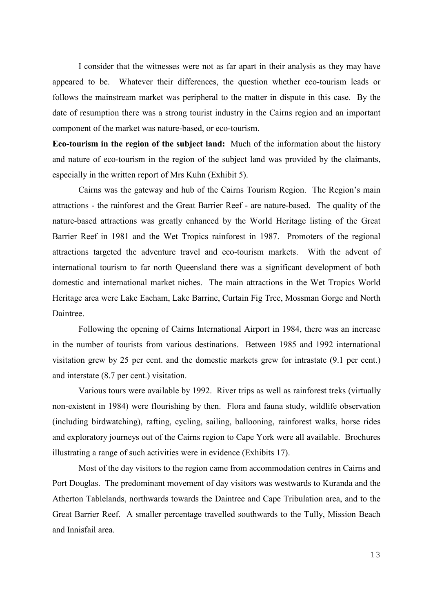I consider that the witnesses were not as far apart in their analysis as they may have appeared to be. Whatever their differences, the question whether eco-tourism leads or follows the mainstream market was peripheral to the matter in dispute in this case. By the date of resumption there was a strong tourist industry in the Cairns region and an important component of the market was nature-based, or eco-tourism.

**Eco-tourism in the region of the subject land:** Much of the information about the history and nature of eco-tourism in the region of the subject land was provided by the claimants, especially in the written report of Mrs Kuhn (Exhibit 5).

Cairns was the gateway and hub of the Cairns Tourism Region. The Region's main attractions - the rainforest and the Great Barrier Reef - are nature-based. The quality of the nature-based attractions was greatly enhanced by the World Heritage listing of the Great Barrier Reef in 1981 and the Wet Tropics rainforest in 1987. Promoters of the regional attractions targeted the adventure travel and eco-tourism markets. With the advent of international tourism to far north Queensland there was a significant development of both domestic and international market niches. The main attractions in the Wet Tropics World Heritage area were Lake Eacham, Lake Barrine, Curtain Fig Tree, Mossman Gorge and North Daintree.

Following the opening of Cairns International Airport in 1984, there was an increase in the number of tourists from various destinations. Between 1985 and 1992 international visitation grew by 25 per cent. and the domestic markets grew for intrastate (9.1 per cent.) and interstate (8.7 per cent.) visitation.

Various tours were available by 1992. River trips as well as rainforest treks (virtually non-existent in 1984) were flourishing by then. Flora and fauna study, wildlife observation (including birdwatching), rafting, cycling, sailing, ballooning, rainforest walks, horse rides and exploratory journeys out of the Cairns region to Cape York were all available. Brochures illustrating a range of such activities were in evidence (Exhibits 17).

Most of the day visitors to the region came from accommodation centres in Cairns and Port Douglas. The predominant movement of day visitors was westwards to Kuranda and the Atherton Tablelands, northwards towards the Daintree and Cape Tribulation area, and to the Great Barrier Reef. A smaller percentage travelled southwards to the Tully, Mission Beach and Innisfail area.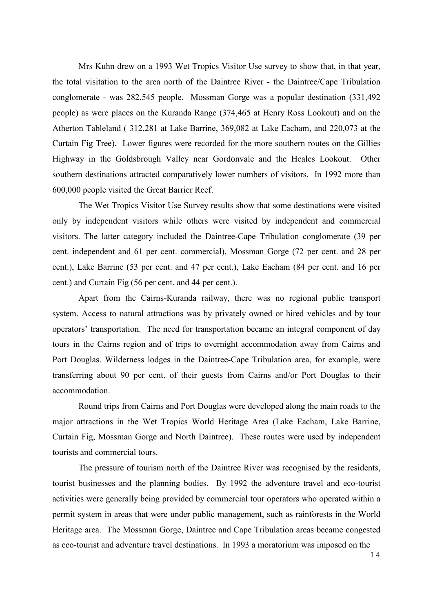Mrs Kuhn drew on a 1993 Wet Tropics Visitor Use survey to show that, in that year, the total visitation to the area north of the Daintree River - the Daintree/Cape Tribulation conglomerate - was 282,545 people. Mossman Gorge was a popular destination (331,492 people) as were places on the Kuranda Range (374,465 at Henry Ross Lookout) and on the Atherton Tableland ( 312,281 at Lake Barrine, 369,082 at Lake Eacham, and 220,073 at the Curtain Fig Tree). Lower figures were recorded for the more southern routes on the Gillies Highway in the Goldsbrough Valley near Gordonvale and the Heales Lookout. Other southern destinations attracted comparatively lower numbers of visitors. In 1992 more than 600,000 people visited the Great Barrier Reef.

The Wet Tropics Visitor Use Survey results show that some destinations were visited only by independent visitors while others were visited by independent and commercial visitors. The latter category included the Daintree-Cape Tribulation conglomerate (39 per cent. independent and 61 per cent. commercial), Mossman Gorge (72 per cent. and 28 per cent.), Lake Barrine (53 per cent. and 47 per cent.), Lake Eacham (84 per cent. and 16 per cent.) and Curtain Fig (56 per cent. and 44 per cent.).

Apart from the Cairns-Kuranda railway, there was no regional public transport system. Access to natural attractions was by privately owned or hired vehicles and by tour operators' transportation. The need for transportation became an integral component of day tours in the Cairns region and of trips to overnight accommodation away from Cairns and Port Douglas. Wilderness lodges in the Daintree-Cape Tribulation area, for example, were transferring about 90 per cent. of their guests from Cairns and/or Port Douglas to their accommodation.

Round trips from Cairns and Port Douglas were developed along the main roads to the major attractions in the Wet Tropics World Heritage Area (Lake Eacham, Lake Barrine, Curtain Fig, Mossman Gorge and North Daintree). These routes were used by independent tourists and commercial tours.

The pressure of tourism north of the Daintree River was recognised by the residents, tourist businesses and the planning bodies. By 1992 the adventure travel and eco-tourist activities were generally being provided by commercial tour operators who operated within a permit system in areas that were under public management, such as rainforests in the World Heritage area. The Mossman Gorge, Daintree and Cape Tribulation areas became congested as eco-tourist and adventure travel destinations. In 1993 a moratorium was imposed on the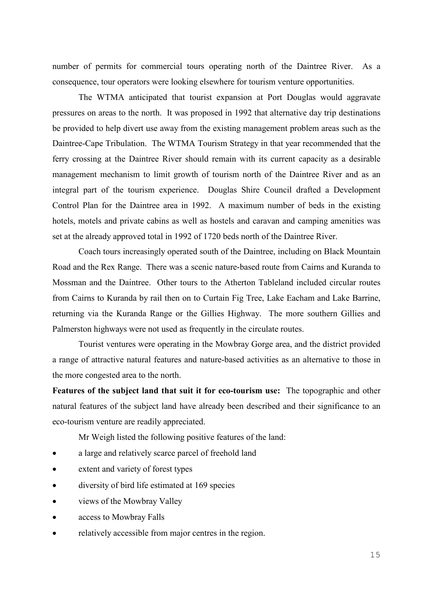number of permits for commercial tours operating north of the Daintree River. As a consequence, tour operators were looking elsewhere for tourism venture opportunities.

The WTMA anticipated that tourist expansion at Port Douglas would aggravate pressures on areas to the north. It was proposed in 1992 that alternative day trip destinations be provided to help divert use away from the existing management problem areas such as the Daintree-Cape Tribulation. The WTMA Tourism Strategy in that year recommended that the ferry crossing at the Daintree River should remain with its current capacity as a desirable management mechanism to limit growth of tourism north of the Daintree River and as an integral part of the tourism experience. Douglas Shire Council drafted a Development Control Plan for the Daintree area in 1992. A maximum number of beds in the existing hotels, motels and private cabins as well as hostels and caravan and camping amenities was set at the already approved total in 1992 of 1720 beds north of the Daintree River.

Coach tours increasingly operated south of the Daintree, including on Black Mountain Road and the Rex Range. There was a scenic nature-based route from Cairns and Kuranda to Mossman and the Daintree. Other tours to the Atherton Tableland included circular routes from Cairns to Kuranda by rail then on to Curtain Fig Tree, Lake Eacham and Lake Barrine, returning via the Kuranda Range or the Gillies Highway. The more southern Gillies and Palmerston highways were not used as frequently in the circulate routes.

Tourist ventures were operating in the Mowbray Gorge area, and the district provided a range of attractive natural features and nature-based activities as an alternative to those in the more congested area to the north.

**Features of the subject land that suit it for eco-tourism use:** The topographic and other natural features of the subject land have already been described and their significance to an eco-tourism venture are readily appreciated.

Mr Weigh listed the following positive features of the land:

- a large and relatively scarce parcel of freehold land
- extent and variety of forest types
- diversity of bird life estimated at 169 species
- views of the Mowbray Valley
- access to Mowbray Falls
- relatively accessible from major centres in the region.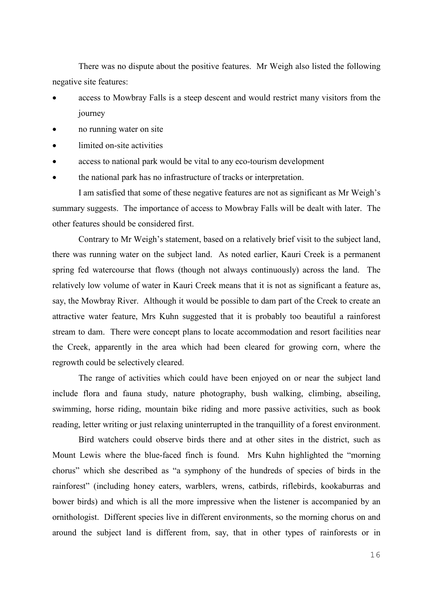There was no dispute about the positive features. Mr Weigh also listed the following negative site features:

- access to Mowbray Falls is a steep descent and would restrict many visitors from the journey
- no running water on site
- limited on-site activities
- access to national park would be vital to any eco-tourism development
- the national park has no infrastructure of tracks or interpretation.

I am satisfied that some of these negative features are not as significant as Mr Weigh's summary suggests. The importance of access to Mowbray Falls will be dealt with later. The other features should be considered first.

Contrary to Mr Weigh's statement, based on a relatively brief visit to the subject land, there was running water on the subject land. As noted earlier, Kauri Creek is a permanent spring fed watercourse that flows (though not always continuously) across the land. The relatively low volume of water in Kauri Creek means that it is not as significant a feature as, say, the Mowbray River. Although it would be possible to dam part of the Creek to create an attractive water feature, Mrs Kuhn suggested that it is probably too beautiful a rainforest stream to dam. There were concept plans to locate accommodation and resort facilities near the Creek, apparently in the area which had been cleared for growing corn, where the regrowth could be selectively cleared.

The range of activities which could have been enjoyed on or near the subject land include flora and fauna study, nature photography, bush walking, climbing, abseiling, swimming, horse riding, mountain bike riding and more passive activities, such as book reading, letter writing or just relaxing uninterrupted in the tranquillity of a forest environment.

Bird watchers could observe birds there and at other sites in the district, such as Mount Lewis where the blue-faced finch is found. Mrs Kuhn highlighted the "morning chorus" which she described as "a symphony of the hundreds of species of birds in the rainforest" (including honey eaters, warblers, wrens, catbirds, riflebirds, kookaburras and bower birds) and which is all the more impressive when the listener is accompanied by an ornithologist. Different species live in different environments, so the morning chorus on and around the subject land is different from, say, that in other types of rainforests or in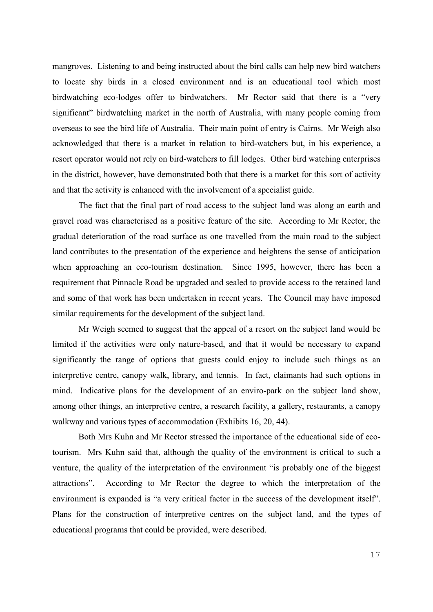mangroves. Listening to and being instructed about the bird calls can help new bird watchers to locate shy birds in a closed environment and is an educational tool which most birdwatching eco-lodges offer to birdwatchers. Mr Rector said that there is a "very significant" birdwatching market in the north of Australia, with many people coming from overseas to see the bird life of Australia. Their main point of entry is Cairns. Mr Weigh also acknowledged that there is a market in relation to bird-watchers but, in his experience, a resort operator would not rely on bird-watchers to fill lodges. Other bird watching enterprises in the district, however, have demonstrated both that there is a market for this sort of activity and that the activity is enhanced with the involvement of a specialist guide.

The fact that the final part of road access to the subject land was along an earth and gravel road was characterised as a positive feature of the site. According to Mr Rector, the gradual deterioration of the road surface as one travelled from the main road to the subject land contributes to the presentation of the experience and heightens the sense of anticipation when approaching an eco-tourism destination. Since 1995, however, there has been a requirement that Pinnacle Road be upgraded and sealed to provide access to the retained land and some of that work has been undertaken in recent years. The Council may have imposed similar requirements for the development of the subject land.

Mr Weigh seemed to suggest that the appeal of a resort on the subject land would be limited if the activities were only nature-based, and that it would be necessary to expand significantly the range of options that guests could enjoy to include such things as an interpretive centre, canopy walk, library, and tennis. In fact, claimants had such options in mind. Indicative plans for the development of an enviro-park on the subject land show, among other things, an interpretive centre, a research facility, a gallery, restaurants, a canopy walkway and various types of accommodation (Exhibits 16, 20, 44).

Both Mrs Kuhn and Mr Rector stressed the importance of the educational side of ecotourism. Mrs Kuhn said that, although the quality of the environment is critical to such a venture, the quality of the interpretation of the environment "is probably one of the biggest attractions". According to Mr Rector the degree to which the interpretation of the environment is expanded is "a very critical factor in the success of the development itself". Plans for the construction of interpretive centres on the subject land, and the types of educational programs that could be provided, were described.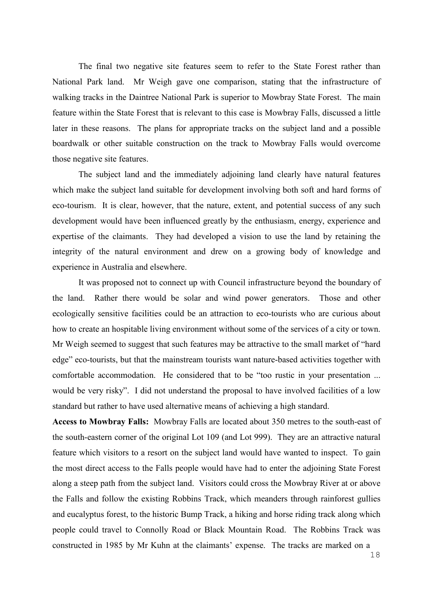The final two negative site features seem to refer to the State Forest rather than National Park land. Mr Weigh gave one comparison, stating that the infrastructure of walking tracks in the Daintree National Park is superior to Mowbray State Forest. The main feature within the State Forest that is relevant to this case is Mowbray Falls, discussed a little later in these reasons. The plans for appropriate tracks on the subject land and a possible boardwalk or other suitable construction on the track to Mowbray Falls would overcome those negative site features.

The subject land and the immediately adjoining land clearly have natural features which make the subject land suitable for development involving both soft and hard forms of eco-tourism. It is clear, however, that the nature, extent, and potential success of any such development would have been influenced greatly by the enthusiasm, energy, experience and expertise of the claimants. They had developed a vision to use the land by retaining the integrity of the natural environment and drew on a growing body of knowledge and experience in Australia and elsewhere.

It was proposed not to connect up with Council infrastructure beyond the boundary of the land. Rather there would be solar and wind power generators. Those and other ecologically sensitive facilities could be an attraction to eco-tourists who are curious about how to create an hospitable living environment without some of the services of a city or town. Mr Weigh seemed to suggest that such features may be attractive to the small market of "hard edge" eco-tourists, but that the mainstream tourists want nature-based activities together with comfortable accommodation. He considered that to be "too rustic in your presentation ... would be very risky". I did not understand the proposal to have involved facilities of a low standard but rather to have used alternative means of achieving a high standard.

**Access to Mowbray Falls:** Mowbray Falls are located about 350 metres to the south-east of the south-eastern corner of the original Lot 109 (and Lot 999). They are an attractive natural feature which visitors to a resort on the subject land would have wanted to inspect. To gain the most direct access to the Falls people would have had to enter the adjoining State Forest along a steep path from the subject land. Visitors could cross the Mowbray River at or above the Falls and follow the existing Robbins Track, which meanders through rainforest gullies and eucalyptus forest, to the historic Bump Track, a hiking and horse riding track along which people could travel to Connolly Road or Black Mountain Road. The Robbins Track was constructed in 1985 by Mr Kuhn at the claimants' expense. The tracks are marked on a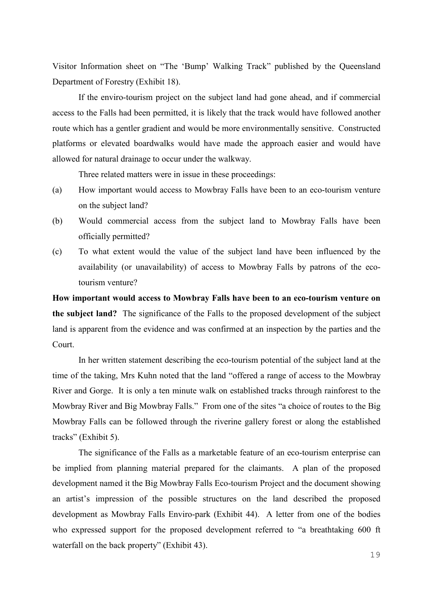Visitor Information sheet on "The 'Bump' Walking Track" published by the Queensland Department of Forestry (Exhibit 18).

If the enviro-tourism project on the subject land had gone ahead, and if commercial access to the Falls had been permitted, it is likely that the track would have followed another route which has a gentler gradient and would be more environmentally sensitive. Constructed platforms or elevated boardwalks would have made the approach easier and would have allowed for natural drainage to occur under the walkway.

Three related matters were in issue in these proceedings:

- (a) How important would access to Mowbray Falls have been to an eco-tourism venture on the subject land?
- (b) Would commercial access from the subject land to Mowbray Falls have been officially permitted?
- (c) To what extent would the value of the subject land have been influenced by the availability (or unavailability) of access to Mowbray Falls by patrons of the ecotourism venture?

**How important would access to Mowbray Falls have been to an eco-tourism venture on the subject land?** The significance of the Falls to the proposed development of the subject land is apparent from the evidence and was confirmed at an inspection by the parties and the Court.

In her written statement describing the eco-tourism potential of the subject land at the time of the taking, Mrs Kuhn noted that the land "offered a range of access to the Mowbray River and Gorge. It is only a ten minute walk on established tracks through rainforest to the Mowbray River and Big Mowbray Falls." From one of the sites "a choice of routes to the Big Mowbray Falls can be followed through the riverine gallery forest or along the established tracks" (Exhibit 5).

The significance of the Falls as a marketable feature of an eco-tourism enterprise can be implied from planning material prepared for the claimants. A plan of the proposed development named it the Big Mowbray Falls Eco-tourism Project and the document showing an artist's impression of the possible structures on the land described the proposed development as Mowbray Falls Enviro-park (Exhibit 44). A letter from one of the bodies who expressed support for the proposed development referred to "a breathtaking 600 ft waterfall on the back property" (Exhibit 43).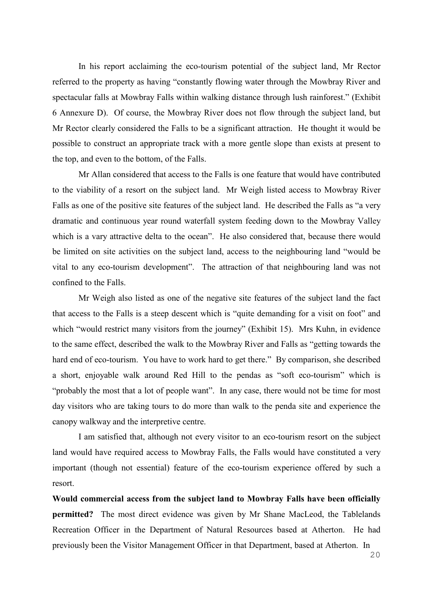In his report acclaiming the eco-tourism potential of the subject land, Mr Rector referred to the property as having "constantly flowing water through the Mowbray River and spectacular falls at Mowbray Falls within walking distance through lush rainforest." (Exhibit 6 Annexure D). Of course, the Mowbray River does not flow through the subject land, but Mr Rector clearly considered the Falls to be a significant attraction. He thought it would be possible to construct an appropriate track with a more gentle slope than exists at present to the top, and even to the bottom, of the Falls.

Mr Allan considered that access to the Falls is one feature that would have contributed to the viability of a resort on the subject land. Mr Weigh listed access to Mowbray River Falls as one of the positive site features of the subject land. He described the Falls as "a very dramatic and continuous year round waterfall system feeding down to the Mowbray Valley which is a vary attractive delta to the ocean". He also considered that, because there would be limited on site activities on the subject land, access to the neighbouring land "would be vital to any eco-tourism development". The attraction of that neighbouring land was not confined to the Falls.

Mr Weigh also listed as one of the negative site features of the subject land the fact that access to the Falls is a steep descent which is "quite demanding for a visit on foot" and which "would restrict many visitors from the journey" (Exhibit 15). Mrs Kuhn, in evidence to the same effect, described the walk to the Mowbray River and Falls as "getting towards the hard end of eco-tourism. You have to work hard to get there." By comparison, she described a short, enjoyable walk around Red Hill to the pendas as "soft eco-tourism" which is "probably the most that a lot of people want". In any case, there would not be time for most day visitors who are taking tours to do more than walk to the penda site and experience the canopy walkway and the interpretive centre.

I am satisfied that, although not every visitor to an eco-tourism resort on the subject land would have required access to Mowbray Falls, the Falls would have constituted a very important (though not essential) feature of the eco-tourism experience offered by such a resort.

**Would commercial access from the subject land to Mowbray Falls have been officially permitted?** The most direct evidence was given by Mr Shane MacLeod, the Tablelands Recreation Officer in the Department of Natural Resources based at Atherton. He had previously been the Visitor Management Officer in that Department, based at Atherton. In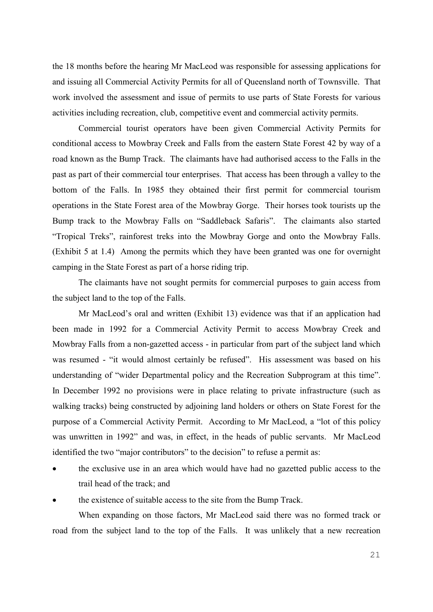the 18 months before the hearing Mr MacLeod was responsible for assessing applications for and issuing all Commercial Activity Permits for all of Queensland north of Townsville. That work involved the assessment and issue of permits to use parts of State Forests for various activities including recreation, club, competitive event and commercial activity permits.

Commercial tourist operators have been given Commercial Activity Permits for conditional access to Mowbray Creek and Falls from the eastern State Forest 42 by way of a road known as the Bump Track. The claimants have had authorised access to the Falls in the past as part of their commercial tour enterprises. That access has been through a valley to the bottom of the Falls. In 1985 they obtained their first permit for commercial tourism operations in the State Forest area of the Mowbray Gorge. Their horses took tourists up the Bump track to the Mowbray Falls on "Saddleback Safaris". The claimants also started "Tropical Treks", rainforest treks into the Mowbray Gorge and onto the Mowbray Falls. (Exhibit 5 at 1.4) Among the permits which they have been granted was one for overnight camping in the State Forest as part of a horse riding trip.

The claimants have not sought permits for commercial purposes to gain access from the subject land to the top of the Falls.

Mr MacLeod's oral and written (Exhibit 13) evidence was that if an application had been made in 1992 for a Commercial Activity Permit to access Mowbray Creek and Mowbray Falls from a non-gazetted access - in particular from part of the subject land which was resumed - "it would almost certainly be refused". His assessment was based on his understanding of "wider Departmental policy and the Recreation Subprogram at this time". In December 1992 no provisions were in place relating to private infrastructure (such as walking tracks) being constructed by adjoining land holders or others on State Forest for the purpose of a Commercial Activity Permit. According to Mr MacLeod, a "lot of this policy was unwritten in 1992" and was, in effect, in the heads of public servants. Mr MacLeod identified the two "major contributors" to the decision" to refuse a permit as:

- the exclusive use in an area which would have had no gazetted public access to the trail head of the track; and
- the existence of suitable access to the site from the Bump Track.

When expanding on those factors, Mr MacLeod said there was no formed track or road from the subject land to the top of the Falls. It was unlikely that a new recreation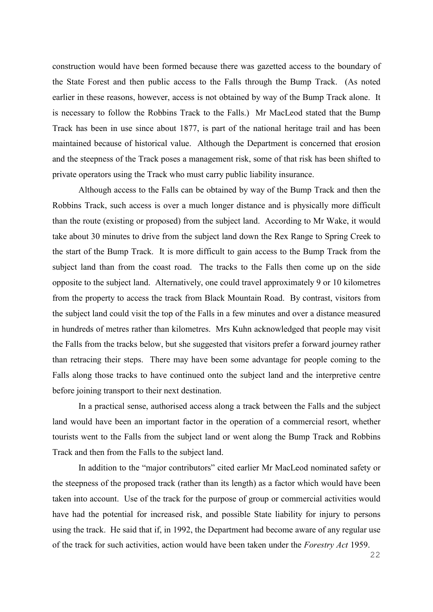construction would have been formed because there was gazetted access to the boundary of the State Forest and then public access to the Falls through the Bump Track. (As noted earlier in these reasons, however, access is not obtained by way of the Bump Track alone. It is necessary to follow the Robbins Track to the Falls.) Mr MacLeod stated that the Bump Track has been in use since about 1877, is part of the national heritage trail and has been maintained because of historical value. Although the Department is concerned that erosion and the steepness of the Track poses a management risk, some of that risk has been shifted to private operators using the Track who must carry public liability insurance.

Although access to the Falls can be obtained by way of the Bump Track and then the Robbins Track, such access is over a much longer distance and is physically more difficult than the route (existing or proposed) from the subject land. According to Mr Wake, it would take about 30 minutes to drive from the subject land down the Rex Range to Spring Creek to the start of the Bump Track. It is more difficult to gain access to the Bump Track from the subject land than from the coast road. The tracks to the Falls then come up on the side opposite to the subject land. Alternatively, one could travel approximately 9 or 10 kilometres from the property to access the track from Black Mountain Road. By contrast, visitors from the subject land could visit the top of the Falls in a few minutes and over a distance measured in hundreds of metres rather than kilometres. Mrs Kuhn acknowledged that people may visit the Falls from the tracks below, but she suggested that visitors prefer a forward journey rather than retracing their steps. There may have been some advantage for people coming to the Falls along those tracks to have continued onto the subject land and the interpretive centre before joining transport to their next destination.

In a practical sense, authorised access along a track between the Falls and the subject land would have been an important factor in the operation of a commercial resort, whether tourists went to the Falls from the subject land or went along the Bump Track and Robbins Track and then from the Falls to the subject land.

In addition to the "major contributors" cited earlier Mr MacLeod nominated safety or the steepness of the proposed track (rather than its length) as a factor which would have been taken into account. Use of the track for the purpose of group or commercial activities would have had the potential for increased risk, and possible State liability for injury to persons using the track. He said that if, in 1992, the Department had become aware of any regular use of the track for such activities, action would have been taken under the *Forestry Act* 1959.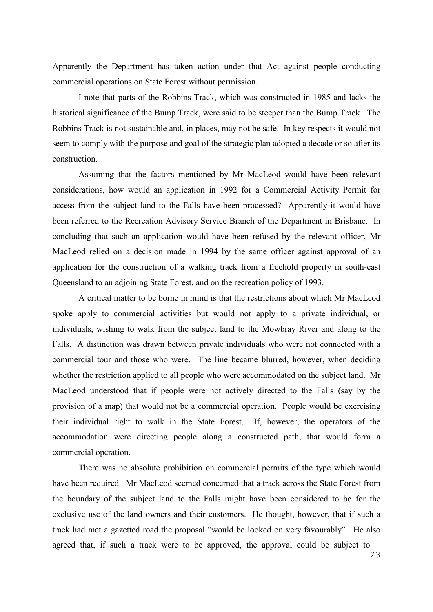Apparently the Department has taken action under that Act against people conducting commercial operations on State Forest without permission.

I note that parts of the Robbins Track, which was constructed in 1985 and lacks the historical significance of the Bump Track, were said to be steeper than the Bump Track. The Robbins Track is not sustainable and, in places, may not be safe. In key respects it would not seem to comply with the purpose and goal of the strategic plan adopted a decade or so after its construction.

Assuming that the factors mentioned by Mr MacLeod would have been relevant considerations, how would an application in 1992 for a Commercial Activity Permit for access from the subject land to the Falls have been processed? Apparently it would have been referred to the Recreation Advisory Service Branch of the Department in Brisbane. In concluding that such an application would have been refused by the relevant officer, Mr MacLeod relied on a decision made in 1994 by the same officer against approval of an application for the construction of a walking track from a freehold property in south-east Queensland to an adjoining State Forest, and on the recreation policy of 1993.

A critical matter to be borne in mind is that the restrictions about which Mr MacLeod spoke apply to commercial activities but would not apply to a private individual, or individuals, wishing to walk from the subject land to the Mowbray River and along to the Falls. A distinction was drawn between private individuals who were not connected with a commercial tour and those who were. The line became blurred, however, when deciding whether the restriction applied to all people who were accommodated on the subject land. Mr MacLeod understood that if people were not actively directed to the Falls (say by the provision of a map) that would not be a commercial operation. People would be exercising their individual right to walk in the State Forest. If, however, the operators of the accommodation were directing people along a constructed path, that would form a commercial operation.

There was no absolute prohibition on commercial permits of the type which would have been required. Mr MacLeod seemed concerned that a track across the State Forest from the boundary of the subject land to the Falls might have been considered to be for the exclusive use of the land owners and their customers. He thought, however, that if such a track had met a gazetted road the proposal "would be looked on very favourably". He also agreed that, if such a track were to be approved, the approval could be subject to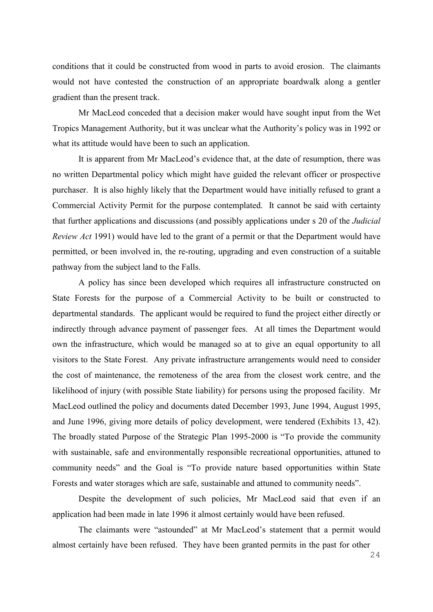conditions that it could be constructed from wood in parts to avoid erosion. The claimants would not have contested the construction of an appropriate boardwalk along a gentler gradient than the present track.

Mr MacLeod conceded that a decision maker would have sought input from the Wet Tropics Management Authority, but it was unclear what the Authority's policy was in 1992 or what its attitude would have been to such an application.

It is apparent from Mr MacLeod's evidence that, at the date of resumption, there was no written Departmental policy which might have guided the relevant officer or prospective purchaser. It is also highly likely that the Department would have initially refused to grant a Commercial Activity Permit for the purpose contemplated. It cannot be said with certainty that further applications and discussions (and possibly applications under s 20 of the *Judicial Review Act* 1991) would have led to the grant of a permit or that the Department would have permitted, or been involved in, the re-routing, upgrading and even construction of a suitable pathway from the subject land to the Falls.

A policy has since been developed which requires all infrastructure constructed on State Forests for the purpose of a Commercial Activity to be built or constructed to departmental standards. The applicant would be required to fund the project either directly or indirectly through advance payment of passenger fees. At all times the Department would own the infrastructure, which would be managed so at to give an equal opportunity to all visitors to the State Forest. Any private infrastructure arrangements would need to consider the cost of maintenance, the remoteness of the area from the closest work centre, and the likelihood of injury (with possible State liability) for persons using the proposed facility. Mr MacLeod outlined the policy and documents dated December 1993, June 1994, August 1995, and June 1996, giving more details of policy development, were tendered (Exhibits 13, 42). The broadly stated Purpose of the Strategic Plan 1995-2000 is "To provide the community with sustainable, safe and environmentally responsible recreational opportunities, attuned to community needs" and the Goal is "To provide nature based opportunities within State Forests and water storages which are safe, sustainable and attuned to community needs".

Despite the development of such policies, Mr MacLeod said that even if an application had been made in late 1996 it almost certainly would have been refused.

The claimants were "astounded" at Mr MacLeod's statement that a permit would almost certainly have been refused. They have been granted permits in the past for other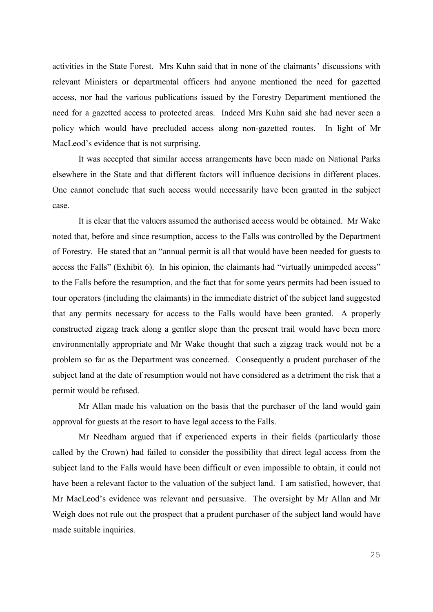activities in the State Forest. Mrs Kuhn said that in none of the claimants' discussions with relevant Ministers or departmental officers had anyone mentioned the need for gazetted access, nor had the various publications issued by the Forestry Department mentioned the need for a gazetted access to protected areas. Indeed Mrs Kuhn said she had never seen a policy which would have precluded access along non-gazetted routes. In light of Mr MacLeod's evidence that is not surprising.

It was accepted that similar access arrangements have been made on National Parks elsewhere in the State and that different factors will influence decisions in different places. One cannot conclude that such access would necessarily have been granted in the subject case.

It is clear that the valuers assumed the authorised access would be obtained. Mr Wake noted that, before and since resumption, access to the Falls was controlled by the Department of Forestry. He stated that an "annual permit is all that would have been needed for guests to access the Falls" (Exhibit 6). In his opinion, the claimants had "virtually unimpeded access" to the Falls before the resumption, and the fact that for some years permits had been issued to tour operators (including the claimants) in the immediate district of the subject land suggested that any permits necessary for access to the Falls would have been granted. A properly constructed zigzag track along a gentler slope than the present trail would have been more environmentally appropriate and Mr Wake thought that such a zigzag track would not be a problem so far as the Department was concerned. Consequently a prudent purchaser of the subject land at the date of resumption would not have considered as a detriment the risk that a permit would be refused.

Mr Allan made his valuation on the basis that the purchaser of the land would gain approval for guests at the resort to have legal access to the Falls.

Mr Needham argued that if experienced experts in their fields (particularly those called by the Crown) had failed to consider the possibility that direct legal access from the subject land to the Falls would have been difficult or even impossible to obtain, it could not have been a relevant factor to the valuation of the subject land. I am satisfied, however, that Mr MacLeod's evidence was relevant and persuasive. The oversight by Mr Allan and Mr Weigh does not rule out the prospect that a prudent purchaser of the subject land would have made suitable inquiries.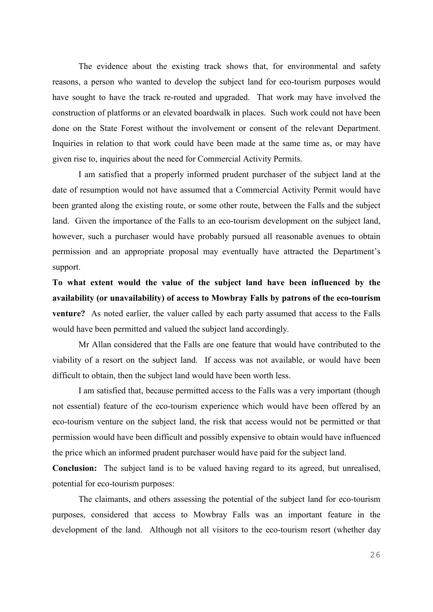The evidence about the existing track shows that, for environmental and safety reasons, a person who wanted to develop the subject land for eco-tourism purposes would have sought to have the track re-routed and upgraded. That work may have involved the construction of platforms or an elevated boardwalk in places. Such work could not have been done on the State Forest without the involvement or consent of the relevant Department. Inquiries in relation to that work could have been made at the same time as, or may have given rise to, inquiries about the need for Commercial Activity Permits.

I am satisfied that a properly informed prudent purchaser of the subject land at the date of resumption would not have assumed that a Commercial Activity Permit would have been granted along the existing route, or some other route, between the Falls and the subject land. Given the importance of the Falls to an eco-tourism development on the subject land, however, such a purchaser would have probably pursued all reasonable avenues to obtain permission and an appropriate proposal may eventually have attracted the Department's support.

**To what extent would the value of the subject land have been influenced by the availability (or unavailability) of access to Mowbray Falls by patrons of the eco-tourism venture?** As noted earlier, the valuer called by each party assumed that access to the Falls would have been permitted and valued the subject land accordingly.

Mr Allan considered that the Falls are one feature that would have contributed to the viability of a resort on the subject land. If access was not available, or would have been difficult to obtain, then the subject land would have been worth less.

I am satisfied that, because permitted access to the Falls was a very important (though not essential) feature of the eco-tourism experience which would have been offered by an eco-tourism venture on the subject land, the risk that access would not be permitted or that permission would have been difficult and possibly expensive to obtain would have influenced the price which an informed prudent purchaser would have paid for the subject land.

**Conclusion:** The subject land is to be valued having regard to its agreed, but unrealised, potential for eco-tourism purposes:

The claimants, and others assessing the potential of the subject land for eco-tourism purposes, considered that access to Mowbray Falls was an important feature in the development of the land. Although not all visitors to the eco-tourism resort (whether day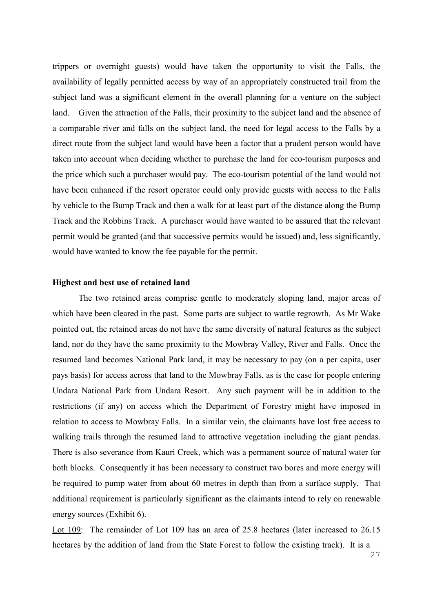trippers or overnight guests) would have taken the opportunity to visit the Falls, the availability of legally permitted access by way of an appropriately constructed trail from the subject land was a significant element in the overall planning for a venture on the subject land. Given the attraction of the Falls, their proximity to the subject land and the absence of a comparable river and falls on the subject land, the need for legal access to the Falls by a direct route from the subject land would have been a factor that a prudent person would have taken into account when deciding whether to purchase the land for eco-tourism purposes and the price which such a purchaser would pay. The eco-tourism potential of the land would not have been enhanced if the resort operator could only provide guests with access to the Falls by vehicle to the Bump Track and then a walk for at least part of the distance along the Bump Track and the Robbins Track. A purchaser would have wanted to be assured that the relevant permit would be granted (and that successive permits would be issued) and, less significantly, would have wanted to know the fee payable for the permit.

## **Highest and best use of retained land**

The two retained areas comprise gentle to moderately sloping land, major areas of which have been cleared in the past. Some parts are subject to wattle regrowth. As Mr Wake pointed out, the retained areas do not have the same diversity of natural features as the subject land, nor do they have the same proximity to the Mowbray Valley, River and Falls. Once the resumed land becomes National Park land, it may be necessary to pay (on a per capita, user pays basis) for access across that land to the Mowbray Falls, as is the case for people entering Undara National Park from Undara Resort. Any such payment will be in addition to the restrictions (if any) on access which the Department of Forestry might have imposed in relation to access to Mowbray Falls. In a similar vein, the claimants have lost free access to walking trails through the resumed land to attractive vegetation including the giant pendas. There is also severance from Kauri Creek, which was a permanent source of natural water for both blocks. Consequently it has been necessary to construct two bores and more energy will be required to pump water from about 60 metres in depth than from a surface supply. That additional requirement is particularly significant as the claimants intend to rely on renewable energy sources (Exhibit 6).

Lot 109: The remainder of Lot 109 has an area of 25.8 hectares (later increased to 26.15 hectares by the addition of land from the State Forest to follow the existing track). It is a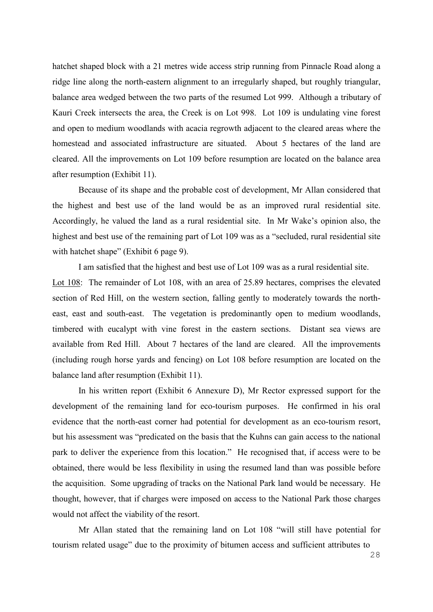hatchet shaped block with a 21 metres wide access strip running from Pinnacle Road along a ridge line along the north-eastern alignment to an irregularly shaped, but roughly triangular, balance area wedged between the two parts of the resumed Lot 999. Although a tributary of Kauri Creek intersects the area, the Creek is on Lot 998. Lot 109 is undulating vine forest and open to medium woodlands with acacia regrowth adjacent to the cleared areas where the homestead and associated infrastructure are situated. About 5 hectares of the land are cleared. All the improvements on Lot 109 before resumption are located on the balance area after resumption (Exhibit 11).

Because of its shape and the probable cost of development, Mr Allan considered that the highest and best use of the land would be as an improved rural residential site. Accordingly, he valued the land as a rural residential site. In Mr Wake's opinion also, the highest and best use of the remaining part of Lot 109 was as a "secluded, rural residential site with hatchet shape" (Exhibit 6 page 9).

I am satisfied that the highest and best use of Lot 109 was as a rural residential site. Lot 108: The remainder of Lot 108, with an area of 25.89 hectares, comprises the elevated section of Red Hill, on the western section, falling gently to moderately towards the northeast, east and south-east. The vegetation is predominantly open to medium woodlands, timbered with eucalypt with vine forest in the eastern sections. Distant sea views are available from Red Hill. About 7 hectares of the land are cleared. All the improvements (including rough horse yards and fencing) on Lot 108 before resumption are located on the balance land after resumption (Exhibit 11).

In his written report (Exhibit 6 Annexure D), Mr Rector expressed support for the development of the remaining land for eco-tourism purposes. He confirmed in his oral evidence that the north-east corner had potential for development as an eco-tourism resort, but his assessment was "predicated on the basis that the Kuhns can gain access to the national park to deliver the experience from this location." He recognised that, if access were to be obtained, there would be less flexibility in using the resumed land than was possible before the acquisition. Some upgrading of tracks on the National Park land would be necessary. He thought, however, that if charges were imposed on access to the National Park those charges would not affect the viability of the resort.

Mr Allan stated that the remaining land on Lot 108 "will still have potential for tourism related usage" due to the proximity of bitumen access and sufficient attributes to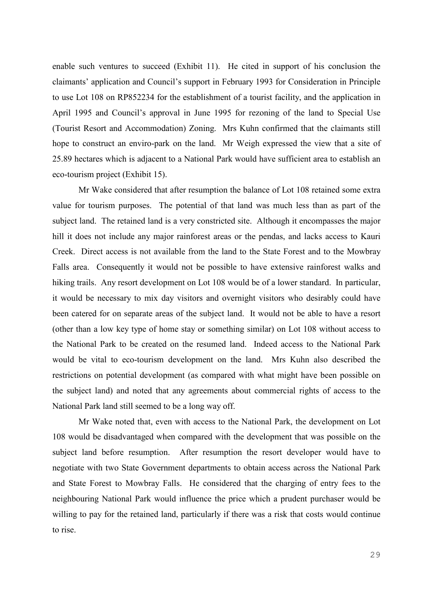enable such ventures to succeed (Exhibit 11). He cited in support of his conclusion the claimants' application and Council's support in February 1993 for Consideration in Principle to use Lot 108 on RP852234 for the establishment of a tourist facility, and the application in April 1995 and Council's approval in June 1995 for rezoning of the land to Special Use (Tourist Resort and Accommodation) Zoning. Mrs Kuhn confirmed that the claimants still hope to construct an enviro-park on the land. Mr Weigh expressed the view that a site of 25.89 hectares which is adjacent to a National Park would have sufficient area to establish an eco-tourism project (Exhibit 15).

Mr Wake considered that after resumption the balance of Lot 108 retained some extra value for tourism purposes. The potential of that land was much less than as part of the subject land. The retained land is a very constricted site. Although it encompasses the major hill it does not include any major rainforest areas or the pendas, and lacks access to Kauri Creek. Direct access is not available from the land to the State Forest and to the Mowbray Falls area. Consequently it would not be possible to have extensive rainforest walks and hiking trails. Any resort development on Lot 108 would be of a lower standard. In particular, it would be necessary to mix day visitors and overnight visitors who desirably could have been catered for on separate areas of the subject land. It would not be able to have a resort (other than a low key type of home stay or something similar) on Lot 108 without access to the National Park to be created on the resumed land. Indeed access to the National Park would be vital to eco-tourism development on the land. Mrs Kuhn also described the restrictions on potential development (as compared with what might have been possible on the subject land) and noted that any agreements about commercial rights of access to the National Park land still seemed to be a long way off.

Mr Wake noted that, even with access to the National Park, the development on Lot 108 would be disadvantaged when compared with the development that was possible on the subject land before resumption. After resumption the resort developer would have to negotiate with two State Government departments to obtain access across the National Park and State Forest to Mowbray Falls. He considered that the charging of entry fees to the neighbouring National Park would influence the price which a prudent purchaser would be willing to pay for the retained land, particularly if there was a risk that costs would continue to rise.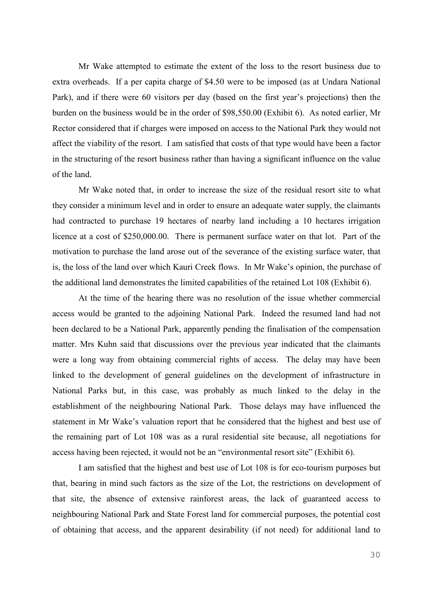Mr Wake attempted to estimate the extent of the loss to the resort business due to extra overheads. If a per capita charge of \$4.50 were to be imposed (as at Undara National Park), and if there were 60 visitors per day (based on the first year's projections) then the burden on the business would be in the order of \$98,550.00 (Exhibit 6). As noted earlier, Mr Rector considered that if charges were imposed on access to the National Park they would not affect the viability of the resort. I am satisfied that costs of that type would have been a factor in the structuring of the resort business rather than having a significant influence on the value of the land.

Mr Wake noted that, in order to increase the size of the residual resort site to what they consider a minimum level and in order to ensure an adequate water supply, the claimants had contracted to purchase 19 hectares of nearby land including a 10 hectares irrigation licence at a cost of \$250,000.00. There is permanent surface water on that lot. Part of the motivation to purchase the land arose out of the severance of the existing surface water, that is, the loss of the land over which Kauri Creek flows. In Mr Wake's opinion, the purchase of the additional land demonstrates the limited capabilities of the retained Lot 108 (Exhibit 6).

At the time of the hearing there was no resolution of the issue whether commercial access would be granted to the adjoining National Park. Indeed the resumed land had not been declared to be a National Park, apparently pending the finalisation of the compensation matter. Mrs Kuhn said that discussions over the previous year indicated that the claimants were a long way from obtaining commercial rights of access. The delay may have been linked to the development of general guidelines on the development of infrastructure in National Parks but, in this case, was probably as much linked to the delay in the establishment of the neighbouring National Park. Those delays may have influenced the statement in Mr Wake's valuation report that he considered that the highest and best use of the remaining part of Lot 108 was as a rural residential site because, all negotiations for access having been rejected, it would not be an "environmental resort site" (Exhibit 6).

I am satisfied that the highest and best use of Lot 108 is for eco-tourism purposes but that, bearing in mind such factors as the size of the Lot, the restrictions on development of that site, the absence of extensive rainforest areas, the lack of guaranteed access to neighbouring National Park and State Forest land for commercial purposes, the potential cost of obtaining that access, and the apparent desirability (if not need) for additional land to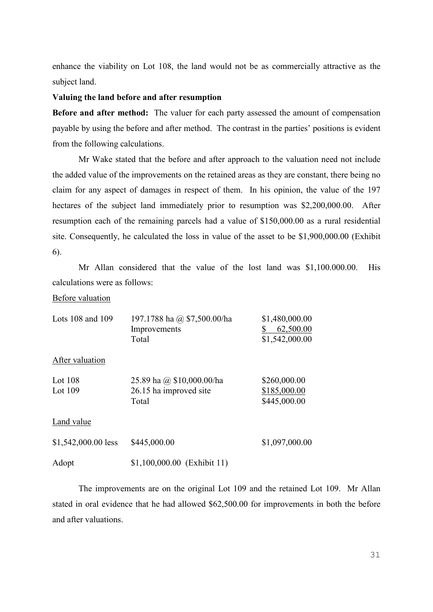enhance the viability on Lot 108, the land would not be as commercially attractive as the subject land.

## **Valuing the land before and after resumption**

**Before and after method:** The valuer for each party assessed the amount of compensation payable by using the before and after method. The contrast in the parties' positions is evident from the following calculations.

Mr Wake stated that the before and after approach to the valuation need not include the added value of the improvements on the retained areas as they are constant, there being no claim for any aspect of damages in respect of them. In his opinion, the value of the 197 hectares of the subject land immediately prior to resumption was \$2,200,000.00. After resumption each of the remaining parcels had a value of \$150,000.00 as a rural residential site. Consequently, he calculated the loss in value of the asset to be \$1,900,000.00 (Exhibit 6).

Mr Allan considered that the value of the lost land was \$1,100.000.00. His calculations were as follows:

## Before valuation

| Lots 108 and 109       | 197.1788 ha @ \$7,500.00/ha<br>Improvements<br>Total         | \$1,480,000.00<br>62,500.00<br>\$<br>\$1,542,000.00 |
|------------------------|--------------------------------------------------------------|-----------------------------------------------------|
| After valuation        |                                                              |                                                     |
| Lot $108$<br>Lot $109$ | 25.89 ha @ \$10,000.00/ha<br>26.15 ha improved site<br>Total | \$260,000.00<br>\$185,000.00<br>\$445,000.00        |
| Land value             |                                                              |                                                     |
| $$1,542,000.00$ less   | \$445,000.00                                                 | \$1,097,000.00                                      |
| Adopt                  | \$1,100,000.00 (Exhibit 11)                                  |                                                     |

The improvements are on the original Lot 109 and the retained Lot 109. Mr Allan stated in oral evidence that he had allowed \$62,500.00 for improvements in both the before and after valuations.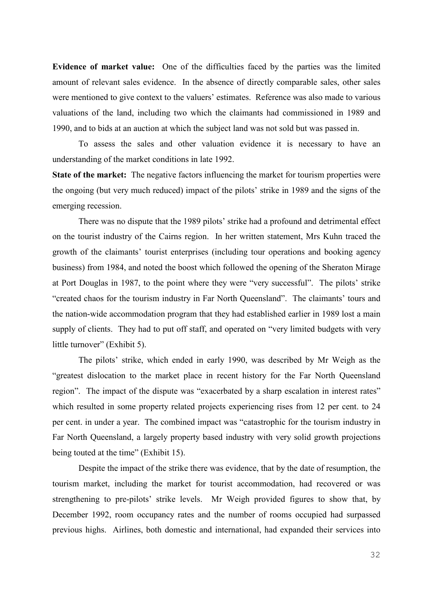**Evidence of market value:** One of the difficulties faced by the parties was the limited amount of relevant sales evidence. In the absence of directly comparable sales, other sales were mentioned to give context to the valuers' estimates. Reference was also made to various valuations of the land, including two which the claimants had commissioned in 1989 and 1990, and to bids at an auction at which the subject land was not sold but was passed in.

To assess the sales and other valuation evidence it is necessary to have an understanding of the market conditions in late 1992.

**State of the market:** The negative factors influencing the market for tourism properties were the ongoing (but very much reduced) impact of the pilots' strike in 1989 and the signs of the emerging recession.

There was no dispute that the 1989 pilots' strike had a profound and detrimental effect on the tourist industry of the Cairns region. In her written statement, Mrs Kuhn traced the growth of the claimants' tourist enterprises (including tour operations and booking agency business) from 1984, and noted the boost which followed the opening of the Sheraton Mirage at Port Douglas in 1987, to the point where they were "very successful". The pilots' strike "created chaos for the tourism industry in Far North Queensland". The claimants' tours and the nation-wide accommodation program that they had established earlier in 1989 lost a main supply of clients. They had to put off staff, and operated on "very limited budgets with very little turnover" (Exhibit 5).

The pilots' strike, which ended in early 1990, was described by Mr Weigh as the "greatest dislocation to the market place in recent history for the Far North Queensland region". The impact of the dispute was "exacerbated by a sharp escalation in interest rates" which resulted in some property related projects experiencing rises from 12 per cent. to 24 per cent. in under a year. The combined impact was "catastrophic for the tourism industry in Far North Queensland, a largely property based industry with very solid growth projections being touted at the time" (Exhibit 15).

Despite the impact of the strike there was evidence, that by the date of resumption, the tourism market, including the market for tourist accommodation, had recovered or was strengthening to pre-pilots' strike levels. Mr Weigh provided figures to show that, by December 1992, room occupancy rates and the number of rooms occupied had surpassed previous highs. Airlines, both domestic and international, had expanded their services into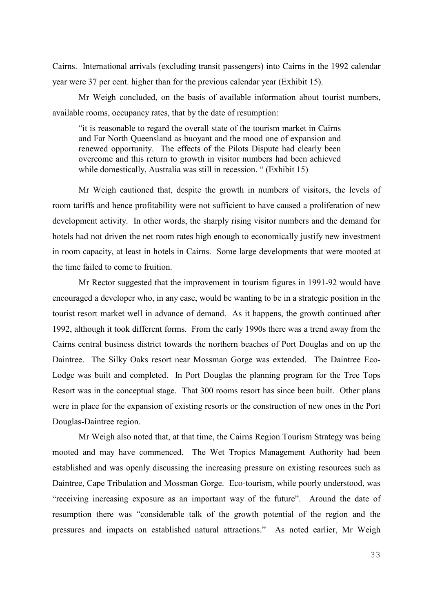Cairns. International arrivals (excluding transit passengers) into Cairns in the 1992 calendar year were 37 per cent. higher than for the previous calendar year (Exhibit 15).

Mr Weigh concluded, on the basis of available information about tourist numbers, available rooms, occupancy rates, that by the date of resumption:

"it is reasonable to regard the overall state of the tourism market in Cairns and Far North Queensland as buoyant and the mood one of expansion and renewed opportunity. The effects of the Pilots Dispute had clearly been overcome and this return to growth in visitor numbers had been achieved while domestically, Australia was still in recession. " (Exhibit 15)

Mr Weigh cautioned that, despite the growth in numbers of visitors, the levels of room tariffs and hence profitability were not sufficient to have caused a proliferation of new development activity. In other words, the sharply rising visitor numbers and the demand for hotels had not driven the net room rates high enough to economically justify new investment in room capacity, at least in hotels in Cairns. Some large developments that were mooted at the time failed to come to fruition.

Mr Rector suggested that the improvement in tourism figures in 1991-92 would have encouraged a developer who, in any case, would be wanting to be in a strategic position in the tourist resort market well in advance of demand. As it happens, the growth continued after 1992, although it took different forms. From the early 1990s there was a trend away from the Cairns central business district towards the northern beaches of Port Douglas and on up the Daintree. The Silky Oaks resort near Mossman Gorge was extended. The Daintree Eco-Lodge was built and completed. In Port Douglas the planning program for the Tree Tops Resort was in the conceptual stage. That 300 rooms resort has since been built. Other plans were in place for the expansion of existing resorts or the construction of new ones in the Port Douglas-Daintree region.

Mr Weigh also noted that, at that time, the Cairns Region Tourism Strategy was being mooted and may have commenced. The Wet Tropics Management Authority had been established and was openly discussing the increasing pressure on existing resources such as Daintree, Cape Tribulation and Mossman Gorge. Eco-tourism, while poorly understood, was "receiving increasing exposure as an important way of the future". Around the date of resumption there was "considerable talk of the growth potential of the region and the pressures and impacts on established natural attractions." As noted earlier, Mr Weigh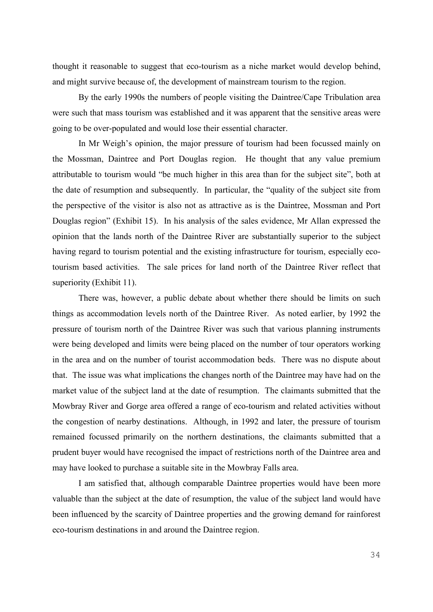thought it reasonable to suggest that eco-tourism as a niche market would develop behind, and might survive because of, the development of mainstream tourism to the region.

By the early 1990s the numbers of people visiting the Daintree/Cape Tribulation area were such that mass tourism was established and it was apparent that the sensitive areas were going to be over-populated and would lose their essential character.

In Mr Weigh's opinion, the major pressure of tourism had been focussed mainly on the Mossman, Daintree and Port Douglas region. He thought that any value premium attributable to tourism would "be much higher in this area than for the subject site", both at the date of resumption and subsequently. In particular, the "quality of the subject site from the perspective of the visitor is also not as attractive as is the Daintree, Mossman and Port Douglas region" (Exhibit 15). In his analysis of the sales evidence, Mr Allan expressed the opinion that the lands north of the Daintree River are substantially superior to the subject having regard to tourism potential and the existing infrastructure for tourism, especially ecotourism based activities. The sale prices for land north of the Daintree River reflect that superiority (Exhibit 11).

There was, however, a public debate about whether there should be limits on such things as accommodation levels north of the Daintree River. As noted earlier, by 1992 the pressure of tourism north of the Daintree River was such that various planning instruments were being developed and limits were being placed on the number of tour operators working in the area and on the number of tourist accommodation beds. There was no dispute about that. The issue was what implications the changes north of the Daintree may have had on the market value of the subject land at the date of resumption. The claimants submitted that the Mowbray River and Gorge area offered a range of eco-tourism and related activities without the congestion of nearby destinations. Although, in 1992 and later, the pressure of tourism remained focussed primarily on the northern destinations, the claimants submitted that a prudent buyer would have recognised the impact of restrictions north of the Daintree area and may have looked to purchase a suitable site in the Mowbray Falls area.

I am satisfied that, although comparable Daintree properties would have been more valuable than the subject at the date of resumption, the value of the subject land would have been influenced by the scarcity of Daintree properties and the growing demand for rainforest eco-tourism destinations in and around the Daintree region.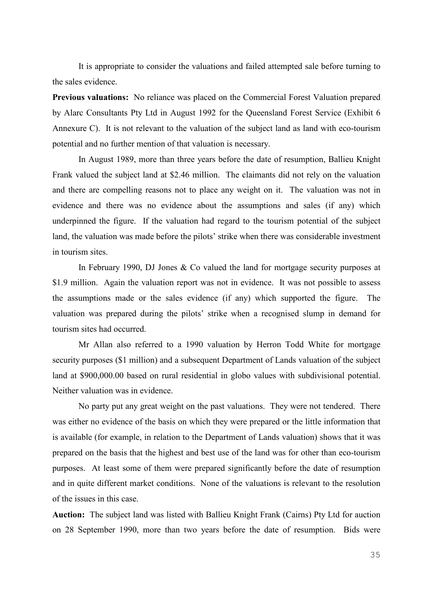It is appropriate to consider the valuations and failed attempted sale before turning to the sales evidence.

**Previous valuations:** No reliance was placed on the Commercial Forest Valuation prepared by Alarc Consultants Pty Ltd in August 1992 for the Queensland Forest Service (Exhibit 6 Annexure C). It is not relevant to the valuation of the subject land as land with eco-tourism potential and no further mention of that valuation is necessary.

In August 1989, more than three years before the date of resumption, Ballieu Knight Frank valued the subject land at \$2.46 million. The claimants did not rely on the valuation and there are compelling reasons not to place any weight on it. The valuation was not in evidence and there was no evidence about the assumptions and sales (if any) which underpinned the figure. If the valuation had regard to the tourism potential of the subject land, the valuation was made before the pilots' strike when there was considerable investment in tourism sites.

In February 1990, DJ Jones  $&$  Co valued the land for mortgage security purposes at \$1.9 million. Again the valuation report was not in evidence. It was not possible to assess the assumptions made or the sales evidence (if any) which supported the figure. The valuation was prepared during the pilots' strike when a recognised slump in demand for tourism sites had occurred.

Mr Allan also referred to a 1990 valuation by Herron Todd White for mortgage security purposes (\$1 million) and a subsequent Department of Lands valuation of the subject land at \$900,000.00 based on rural residential in globo values with subdivisional potential. Neither valuation was in evidence.

No party put any great weight on the past valuations. They were not tendered. There was either no evidence of the basis on which they were prepared or the little information that is available (for example, in relation to the Department of Lands valuation) shows that it was prepared on the basis that the highest and best use of the land was for other than eco-tourism purposes. At least some of them were prepared significantly before the date of resumption and in quite different market conditions. None of the valuations is relevant to the resolution of the issues in this case.

**Auction:** The subject land was listed with Ballieu Knight Frank (Cairns) Pty Ltd for auction on 28 September 1990, more than two years before the date of resumption. Bids were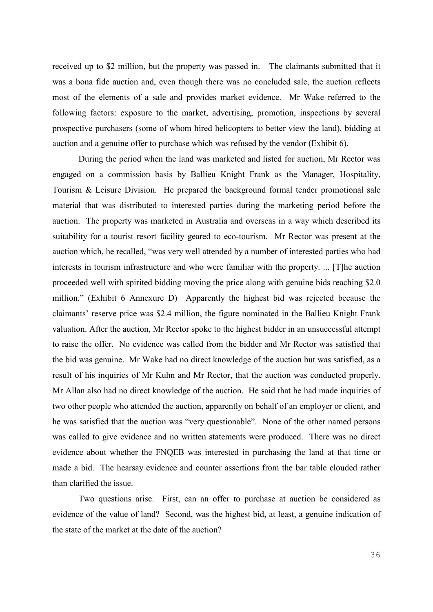received up to \$2 million, but the property was passed in. The claimants submitted that it was a bona fide auction and, even though there was no concluded sale, the auction reflects most of the elements of a sale and provides market evidence. Mr Wake referred to the following factors: exposure to the market, advertising, promotion, inspections by several prospective purchasers (some of whom hired helicopters to better view the land), bidding at auction and a genuine offer to purchase which was refused by the vendor (Exhibit 6).

During the period when the land was marketed and listed for auction, Mr Rector was engaged on a commission basis by Ballieu Knight Frank as the Manager, Hospitality, Tourism & Leisure Division. He prepared the background formal tender promotional sale material that was distributed to interested parties during the marketing period before the auction. The property was marketed in Australia and overseas in a way which described its suitability for a tourist resort facility geared to eco-tourism. Mr Rector was present at the auction which, he recalled, "was very well attended by a number of interested parties who had interests in tourism infrastructure and who were familiar with the property. ... [T]he auction proceeded well with spirited bidding moving the price along with genuine bids reaching \$2.0 million." (Exhibit 6 Annexure D) Apparently the highest bid was rejected because the claimants' reserve price was \$2.4 million, the figure nominated in the Ballieu Knight Frank valuation. After the auction, Mr Rector spoke to the highest bidder in an unsuccessful attempt to raise the offer. No evidence was called from the bidder and Mr Rector was satisfied that the bid was genuine. Mr Wake had no direct knowledge of the auction but was satisfied, as a result of his inquiries of Mr Kuhn and Mr Rector, that the auction was conducted properly. Mr Allan also had no direct knowledge of the auction. He said that he had made inquiries of two other people who attended the auction, apparently on behalf of an employer or client, and he was satisfied that the auction was "very questionable". None of the other named persons was called to give evidence and no written statements were produced. There was no direct evidence about whether the FNQEB was interested in purchasing the land at that time or made a bid. The hearsay evidence and counter assertions from the bar table clouded rather than clarified the issue.

Two questions arise. First, can an offer to purchase at auction be considered as evidence of the value of land? Second, was the highest bid, at least, a genuine indication of the state of the market at the date of the auction?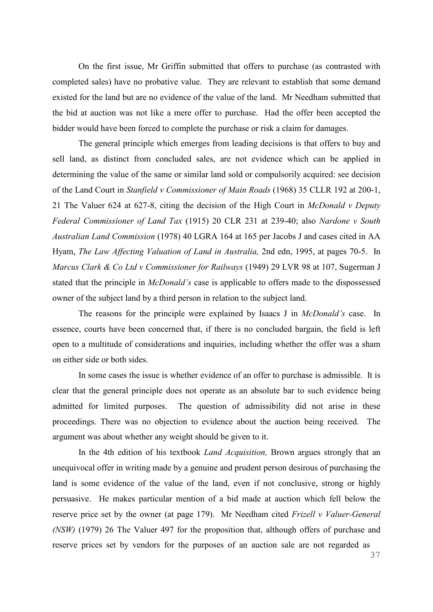On the first issue, Mr Griffin submitted that offers to purchase (as contrasted with completed sales) have no probative value. They are relevant to establish that some demand existed for the land but are no evidence of the value of the land. Mr Needham submitted that the bid at auction was not like a mere offer to purchase. Had the offer been accepted the bidder would have been forced to complete the purchase or risk a claim for damages.

The general principle which emerges from leading decisions is that offers to buy and sell land, as distinct from concluded sales, are not evidence which can be applied in determining the value of the same or similar land sold or compulsorily acquired: see decision of the Land Court in *Stanfield v Commissioner of Main Roads* (1968) 35 CLLR 192 at 200-1, 21 The Valuer 624 at 627-8, citing the decision of the High Court in *McDonald v Deputy Federal Commissioner of Land Tax* (1915) 20 CLR 231 at 239-40; also *Nardone v South Australian Land Commission* (1978) 40 LGRA 164 at 165 per Jacobs J and cases cited in AA Hyam, *The Law Affecting Valuation of Land in Australia,* 2nd edn, 1995, at pages 70-5. In *Marcus Clark & Co Ltd v Commissioner for Railways* (1949) 29 LVR 98 at 107, Sugerman J stated that the principle in *McDonald's* case is applicable to offers made to the dispossessed owner of the subject land by a third person in relation to the subject land.

The reasons for the principle were explained by Isaacs J in *McDonald's* case. In essence, courts have been concerned that, if there is no concluded bargain, the field is left open to a multitude of considerations and inquiries, including whether the offer was a sham on either side or both sides.

In some cases the issue is whether evidence of an offer to purchase is admissible. It is clear that the general principle does not operate as an absolute bar to such evidence being admitted for limited purposes. The question of admissibility did not arise in these proceedings. There was no objection to evidence about the auction being received. The argument was about whether any weight should be given to it.

In the 4th edition of his textbook *Land Acquisition,* Brown argues strongly that an unequivocal offer in writing made by a genuine and prudent person desirous of purchasing the land is some evidence of the value of the land, even if not conclusive, strong or highly persuasive. He makes particular mention of a bid made at auction which fell below the reserve price set by the owner (at page 179). Mr Needham cited *Frizell v Valuer-General (NSW)* (1979) 26 The Valuer 497 for the proposition that, although offers of purchase and reserve prices set by vendors for the purposes of an auction sale are not regarded as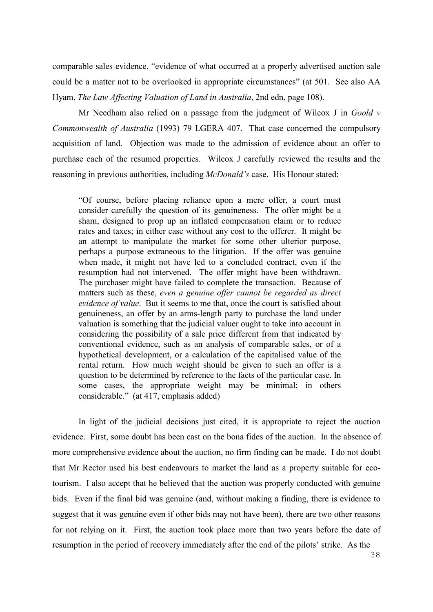comparable sales evidence, "evidence of what occurred at a properly advertised auction sale could be a matter not to be overlooked in appropriate circumstances" (at 501. See also AA Hyam, *The Law Affecting Valuation of Land in Australia*, 2nd edn, page 108).

Mr Needham also relied on a passage from the judgment of Wilcox J in *Goold v Commonwealth of Australia* (1993) 79 LGERA 407. That case concerned the compulsory acquisition of land. Objection was made to the admission of evidence about an offer to purchase each of the resumed properties. Wilcox J carefully reviewed the results and the reasoning in previous authorities, including *McDonald's* case. His Honour stated:

"Of course, before placing reliance upon a mere offer, a court must consider carefully the question of its genuineness. The offer might be a sham, designed to prop up an inflated compensation claim or to reduce rates and taxes; in either case without any cost to the offerer. It might be an attempt to manipulate the market for some other ulterior purpose, perhaps a purpose extraneous to the litigation. If the offer was genuine when made, it might not have led to a concluded contract, even if the resumption had not intervened. The offer might have been withdrawn. The purchaser might have failed to complete the transaction. Because of matters such as these, *even a genuine offer cannot be regarded as direct evidence of value*. But it seems to me that, once the court is satisfied about genuineness, an offer by an arms-length party to purchase the land under valuation is something that the judicial valuer ought to take into account in considering the possibility of a sale price different from that indicated by conventional evidence, such as an analysis of comparable sales, or of a hypothetical development, or a calculation of the capitalised value of the rental return. How much weight should be given to such an offer is a question to be determined by reference to the facts of the particular case. In some cases, the appropriate weight may be minimal; in others considerable." (at 417, emphasis added)

In light of the judicial decisions just cited, it is appropriate to reject the auction evidence. First, some doubt has been cast on the bona fides of the auction. In the absence of more comprehensive evidence about the auction, no firm finding can be made. I do not doubt that Mr Rector used his best endeavours to market the land as a property suitable for ecotourism. I also accept that he believed that the auction was properly conducted with genuine bids. Even if the final bid was genuine (and, without making a finding, there is evidence to suggest that it was genuine even if other bids may not have been), there are two other reasons for not relying on it. First, the auction took place more than two years before the date of resumption in the period of recovery immediately after the end of the pilots' strike. As the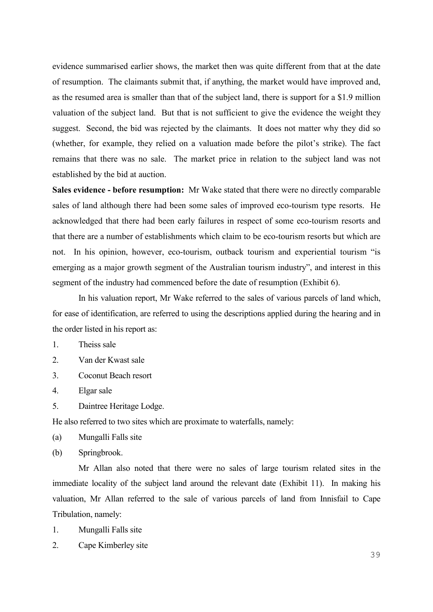evidence summarised earlier shows, the market then was quite different from that at the date of resumption. The claimants submit that, if anything, the market would have improved and, as the resumed area is smaller than that of the subject land, there is support for a \$1.9 million valuation of the subject land. But that is not sufficient to give the evidence the weight they suggest. Second, the bid was rejected by the claimants. It does not matter why they did so (whether, for example, they relied on a valuation made before the pilot's strike). The fact remains that there was no sale. The market price in relation to the subject land was not established by the bid at auction.

**Sales evidence - before resumption:** Mr Wake stated that there were no directly comparable sales of land although there had been some sales of improved eco-tourism type resorts. He acknowledged that there had been early failures in respect of some eco-tourism resorts and that there are a number of establishments which claim to be eco-tourism resorts but which are not. In his opinion, however, eco-tourism, outback tourism and experiential tourism "is emerging as a major growth segment of the Australian tourism industry", and interest in this segment of the industry had commenced before the date of resumption (Exhibit 6).

In his valuation report, Mr Wake referred to the sales of various parcels of land which, for ease of identification, are referred to using the descriptions applied during the hearing and in the order listed in his report as:

- 1. Theiss sale
- 2. Van der Kwast sale
- 3. Coconut Beach resort
- 4. Elgar sale
- 5. Daintree Heritage Lodge.

He also referred to two sites which are proximate to waterfalls, namely:

(a) Mungalli Falls site

(b) Springbrook.

Mr Allan also noted that there were no sales of large tourism related sites in the immediate locality of the subject land around the relevant date (Exhibit 11). In making his valuation, Mr Allan referred to the sale of various parcels of land from Innisfail to Cape Tribulation, namely:

1. Mungalli Falls site

2. Cape Kimberley site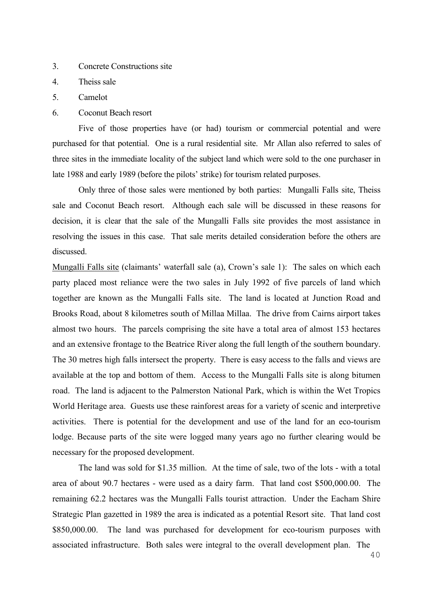- 3. Concrete Constructions site
- 4. Theiss sale
- 5. Camelot
- 6. Coconut Beach resort

Five of those properties have (or had) tourism or commercial potential and were purchased for that potential. One is a rural residential site. Mr Allan also referred to sales of three sites in the immediate locality of the subject land which were sold to the one purchaser in late 1988 and early 1989 (before the pilots' strike) for tourism related purposes.

Only three of those sales were mentioned by both parties: Mungalli Falls site, Theiss sale and Coconut Beach resort. Although each sale will be discussed in these reasons for decision, it is clear that the sale of the Mungalli Falls site provides the most assistance in resolving the issues in this case. That sale merits detailed consideration before the others are discussed.

Mungalli Falls site (claimants' waterfall sale (a), Crown's sale 1): The sales on which each party placed most reliance were the two sales in July 1992 of five parcels of land which together are known as the Mungalli Falls site. The land is located at Junction Road and Brooks Road, about 8 kilometres south of Millaa Millaa. The drive from Cairns airport takes almost two hours. The parcels comprising the site have a total area of almost 153 hectares and an extensive frontage to the Beatrice River along the full length of the southern boundary. The 30 metres high falls intersect the property. There is easy access to the falls and views are available at the top and bottom of them. Access to the Mungalli Falls site is along bitumen road. The land is adjacent to the Palmerston National Park, which is within the Wet Tropics World Heritage area. Guests use these rainforest areas for a variety of scenic and interpretive activities. There is potential for the development and use of the land for an eco-tourism lodge. Because parts of the site were logged many years ago no further clearing would be necessary for the proposed development.

The land was sold for \$1.35 million. At the time of sale, two of the lots - with a total area of about 90.7 hectares - were used as a dairy farm. That land cost \$500,000.00. The remaining 62.2 hectares was the Mungalli Falls tourist attraction. Under the Eacham Shire Strategic Plan gazetted in 1989 the area is indicated as a potential Resort site. That land cost \$850,000.00. The land was purchased for development for eco-tourism purposes with associated infrastructure. Both sales were integral to the overall development plan. The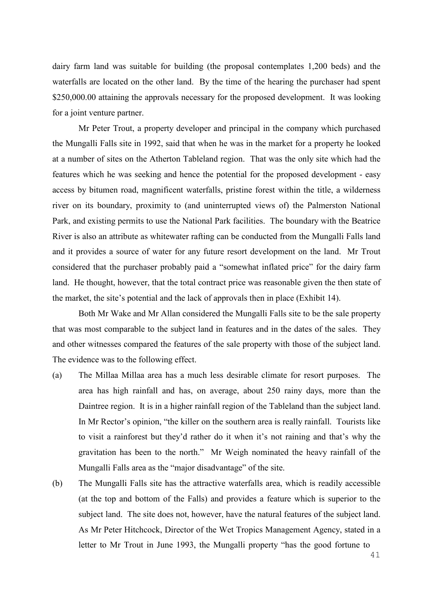dairy farm land was suitable for building (the proposal contemplates 1,200 beds) and the waterfalls are located on the other land. By the time of the hearing the purchaser had spent \$250,000.00 attaining the approvals necessary for the proposed development. It was looking for a joint venture partner.

Mr Peter Trout, a property developer and principal in the company which purchased the Mungalli Falls site in 1992, said that when he was in the market for a property he looked at a number of sites on the Atherton Tableland region. That was the only site which had the features which he was seeking and hence the potential for the proposed development - easy access by bitumen road, magnificent waterfalls, pristine forest within the title, a wilderness river on its boundary, proximity to (and uninterrupted views of) the Palmerston National Park, and existing permits to use the National Park facilities. The boundary with the Beatrice River is also an attribute as whitewater rafting can be conducted from the Mungalli Falls land and it provides a source of water for any future resort development on the land. Mr Trout considered that the purchaser probably paid a "somewhat inflated price" for the dairy farm land. He thought, however, that the total contract price was reasonable given the then state of the market, the site's potential and the lack of approvals then in place (Exhibit 14).

Both Mr Wake and Mr Allan considered the Mungalli Falls site to be the sale property that was most comparable to the subject land in features and in the dates of the sales. They and other witnesses compared the features of the sale property with those of the subject land. The evidence was to the following effect.

- (a) The Millaa Millaa area has a much less desirable climate for resort purposes. The area has high rainfall and has, on average, about 250 rainy days, more than the Daintree region. It is in a higher rainfall region of the Tableland than the subject land. In Mr Rector's opinion, "the killer on the southern area is really rainfall. Tourists like to visit a rainforest but they'd rather do it when it's not raining and that's why the gravitation has been to the north." Mr Weigh nominated the heavy rainfall of the Mungalli Falls area as the "major disadvantage" of the site.
- (b) The Mungalli Falls site has the attractive waterfalls area, which is readily accessible (at the top and bottom of the Falls) and provides a feature which is superior to the subject land. The site does not, however, have the natural features of the subject land. As Mr Peter Hitchcock, Director of the Wet Tropics Management Agency, stated in a letter to Mr Trout in June 1993, the Mungalli property "has the good fortune to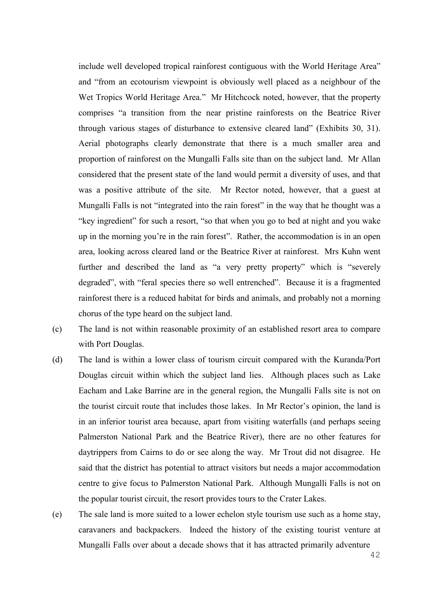include well developed tropical rainforest contiguous with the World Heritage Area" and "from an ecotourism viewpoint is obviously well placed as a neighbour of the Wet Tropics World Heritage Area." Mr Hitchcock noted, however, that the property comprises "a transition from the near pristine rainforests on the Beatrice River through various stages of disturbance to extensive cleared land" (Exhibits 30, 31). Aerial photographs clearly demonstrate that there is a much smaller area and proportion of rainforest on the Mungalli Falls site than on the subject land. Mr Allan considered that the present state of the land would permit a diversity of uses, and that was a positive attribute of the site. Mr Rector noted, however, that a guest at Mungalli Falls is not "integrated into the rain forest" in the way that he thought was a "key ingredient" for such a resort, "so that when you go to bed at night and you wake up in the morning you're in the rain forest". Rather, the accommodation is in an open area, looking across cleared land or the Beatrice River at rainforest. Mrs Kuhn went further and described the land as "a very pretty property" which is "severely degraded", with "feral species there so well entrenched". Because it is a fragmented rainforest there is a reduced habitat for birds and animals, and probably not a morning chorus of the type heard on the subject land.

- (c) The land is not within reasonable proximity of an established resort area to compare with Port Douglas.
- (d) The land is within a lower class of tourism circuit compared with the Kuranda/Port Douglas circuit within which the subject land lies. Although places such as Lake Eacham and Lake Barrine are in the general region, the Mungalli Falls site is not on the tourist circuit route that includes those lakes. In Mr Rector's opinion, the land is in an inferior tourist area because, apart from visiting waterfalls (and perhaps seeing Palmerston National Park and the Beatrice River), there are no other features for daytrippers from Cairns to do or see along the way. Mr Trout did not disagree. He said that the district has potential to attract visitors but needs a major accommodation centre to give focus to Palmerston National Park. Although Mungalli Falls is not on the popular tourist circuit, the resort provides tours to the Crater Lakes.
- (e) The sale land is more suited to a lower echelon style tourism use such as a home stay, caravaners and backpackers. Indeed the history of the existing tourist venture at Mungalli Falls over about a decade shows that it has attracted primarily adventure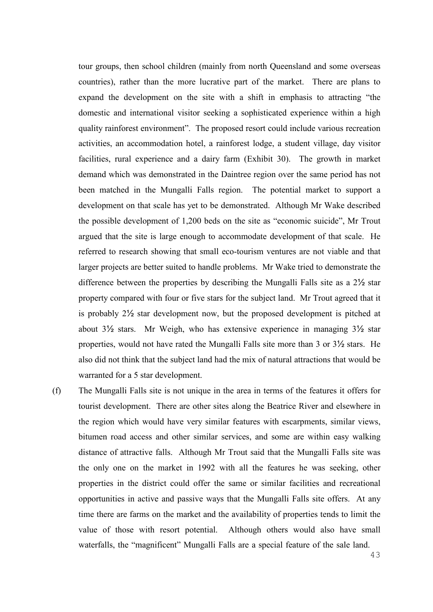tour groups, then school children (mainly from north Queensland and some overseas countries), rather than the more lucrative part of the market. There are plans to expand the development on the site with a shift in emphasis to attracting "the domestic and international visitor seeking a sophisticated experience within a high quality rainforest environment". The proposed resort could include various recreation activities, an accommodation hotel, a rainforest lodge, a student village, day visitor facilities, rural experience and a dairy farm (Exhibit 30). The growth in market demand which was demonstrated in the Daintree region over the same period has not been matched in the Mungalli Falls region. The potential market to support a development on that scale has yet to be demonstrated. Although Mr Wake described the possible development of 1,200 beds on the site as "economic suicide", Mr Trout argued that the site is large enough to accommodate development of that scale. He referred to research showing that small eco-tourism ventures are not viable and that larger projects are better suited to handle problems. Mr Wake tried to demonstrate the difference between the properties by describing the Mungalli Falls site as a 2½ star property compared with four or five stars for the subject land. Mr Trout agreed that it is probably 2½ star development now, but the proposed development is pitched at about 3½ stars. Mr Weigh, who has extensive experience in managing 3½ star properties, would not have rated the Mungalli Falls site more than 3 or 3½ stars. He also did not think that the subject land had the mix of natural attractions that would be warranted for a 5 star development.

(f) The Mungalli Falls site is not unique in the area in terms of the features it offers for tourist development. There are other sites along the Beatrice River and elsewhere in the region which would have very similar features with escarpments, similar views, bitumen road access and other similar services, and some are within easy walking distance of attractive falls. Although Mr Trout said that the Mungalli Falls site was the only one on the market in 1992 with all the features he was seeking, other properties in the district could offer the same or similar facilities and recreational opportunities in active and passive ways that the Mungalli Falls site offers. At any time there are farms on the market and the availability of properties tends to limit the value of those with resort potential. Although others would also have small waterfalls, the "magnificent" Mungalli Falls are a special feature of the sale land.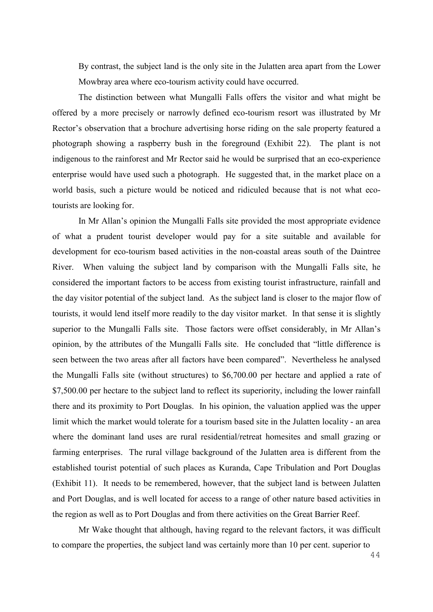By contrast, the subject land is the only site in the Julatten area apart from the Lower Mowbray area where eco-tourism activity could have occurred.

The distinction between what Mungalli Falls offers the visitor and what might be offered by a more precisely or narrowly defined eco-tourism resort was illustrated by Mr Rector's observation that a brochure advertising horse riding on the sale property featured a photograph showing a raspberry bush in the foreground (Exhibit 22). The plant is not indigenous to the rainforest and Mr Rector said he would be surprised that an eco-experience enterprise would have used such a photograph. He suggested that, in the market place on a world basis, such a picture would be noticed and ridiculed because that is not what ecotourists are looking for.

In Mr Allan's opinion the Mungalli Falls site provided the most appropriate evidence of what a prudent tourist developer would pay for a site suitable and available for development for eco-tourism based activities in the non-coastal areas south of the Daintree River. When valuing the subject land by comparison with the Mungalli Falls site, he considered the important factors to be access from existing tourist infrastructure, rainfall and the day visitor potential of the subject land. As the subject land is closer to the major flow of tourists, it would lend itself more readily to the day visitor market. In that sense it is slightly superior to the Mungalli Falls site. Those factors were offset considerably, in Mr Allan's opinion, by the attributes of the Mungalli Falls site. He concluded that "little difference is seen between the two areas after all factors have been compared". Nevertheless he analysed the Mungalli Falls site (without structures) to \$6,700.00 per hectare and applied a rate of \$7,500.00 per hectare to the subject land to reflect its superiority, including the lower rainfall there and its proximity to Port Douglas. In his opinion, the valuation applied was the upper limit which the market would tolerate for a tourism based site in the Julatten locality - an area where the dominant land uses are rural residential/retreat homesites and small grazing or farming enterprises. The rural village background of the Julatten area is different from the established tourist potential of such places as Kuranda, Cape Tribulation and Port Douglas (Exhibit 11). It needs to be remembered, however, that the subject land is between Julatten and Port Douglas, and is well located for access to a range of other nature based activities in the region as well as to Port Douglas and from there activities on the Great Barrier Reef.

Mr Wake thought that although, having regard to the relevant factors, it was difficult to compare the properties, the subject land was certainly more than 10 per cent. superior to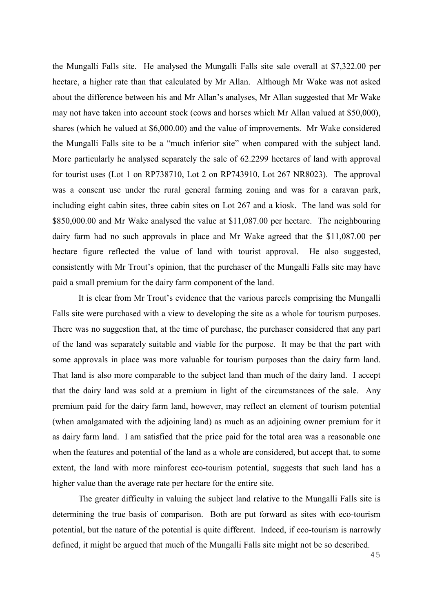the Mungalli Falls site. He analysed the Mungalli Falls site sale overall at \$7,322.00 per hectare, a higher rate than that calculated by Mr Allan. Although Mr Wake was not asked about the difference between his and Mr Allan's analyses, Mr Allan suggested that Mr Wake may not have taken into account stock (cows and horses which Mr Allan valued at \$50,000), shares (which he valued at \$6,000.00) and the value of improvements. Mr Wake considered the Mungalli Falls site to be a "much inferior site" when compared with the subject land. More particularly he analysed separately the sale of 62.2299 hectares of land with approval for tourist uses (Lot 1 on RP738710, Lot 2 on RP743910, Lot 267 NR8023). The approval was a consent use under the rural general farming zoning and was for a caravan park, including eight cabin sites, three cabin sites on Lot 267 and a kiosk. The land was sold for \$850,000.00 and Mr Wake analysed the value at \$11,087.00 per hectare. The neighbouring dairy farm had no such approvals in place and Mr Wake agreed that the \$11,087.00 per hectare figure reflected the value of land with tourist approval. He also suggested, consistently with Mr Trout's opinion, that the purchaser of the Mungalli Falls site may have paid a small premium for the dairy farm component of the land.

It is clear from Mr Trout's evidence that the various parcels comprising the Mungalli Falls site were purchased with a view to developing the site as a whole for tourism purposes. There was no suggestion that, at the time of purchase, the purchaser considered that any part of the land was separately suitable and viable for the purpose. It may be that the part with some approvals in place was more valuable for tourism purposes than the dairy farm land. That land is also more comparable to the subject land than much of the dairy land. I accept that the dairy land was sold at a premium in light of the circumstances of the sale. Any premium paid for the dairy farm land, however, may reflect an element of tourism potential (when amalgamated with the adjoining land) as much as an adjoining owner premium for it as dairy farm land. I am satisfied that the price paid for the total area was a reasonable one when the features and potential of the land as a whole are considered, but accept that, to some extent, the land with more rainforest eco-tourism potential, suggests that such land has a higher value than the average rate per hectare for the entire site.

The greater difficulty in valuing the subject land relative to the Mungalli Falls site is determining the true basis of comparison. Both are put forward as sites with eco-tourism potential, but the nature of the potential is quite different. Indeed, if eco-tourism is narrowly defined, it might be argued that much of the Mungalli Falls site might not be so described.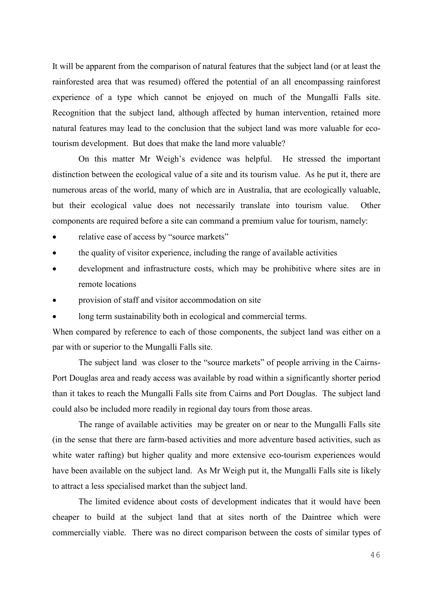It will be apparent from the comparison of natural features that the subject land (or at least the rainforested area that was resumed) offered the potential of an all encompassing rainforest experience of a type which cannot be enjoyed on much of the Mungalli Falls site. Recognition that the subject land, although affected by human intervention, retained more natural features may lead to the conclusion that the subject land was more valuable for ecotourism development. But does that make the land more valuable?

On this matter Mr Weigh's evidence was helpful. He stressed the important distinction between the ecological value of a site and its tourism value. As he put it, there are numerous areas of the world, many of which are in Australia, that are ecologically valuable, but their ecological value does not necessarily translate into tourism value. Other components are required before a site can command a premium value for tourism, namely:

- relative ease of access by "source markets"
- the quality of visitor experience, including the range of available activities
- development and infrastructure costs, which may be prohibitive where sites are in remote locations
- provision of staff and visitor accommodation on site
- long term sustainability both in ecological and commercial terms.

When compared by reference to each of those components, the subject land was either on a par with or superior to the Mungalli Falls site.

The subject land was closer to the "source markets" of people arriving in the Cairns-Port Douglas area and ready access was available by road within a significantly shorter period than it takes to reach the Mungalli Falls site from Cairns and Port Douglas. The subject land could also be included more readily in regional day tours from those areas.

The range of available activities may be greater on or near to the Mungalli Falls site (in the sense that there are farm-based activities and more adventure based activities, such as white water rafting) but higher quality and more extensive eco-tourism experiences would have been available on the subject land. As Mr Weigh put it, the Mungalli Falls site is likely to attract a less specialised market than the subject land.

The limited evidence about costs of development indicates that it would have been cheaper to build at the subject land that at sites north of the Daintree which were commercially viable. There was no direct comparison between the costs of similar types of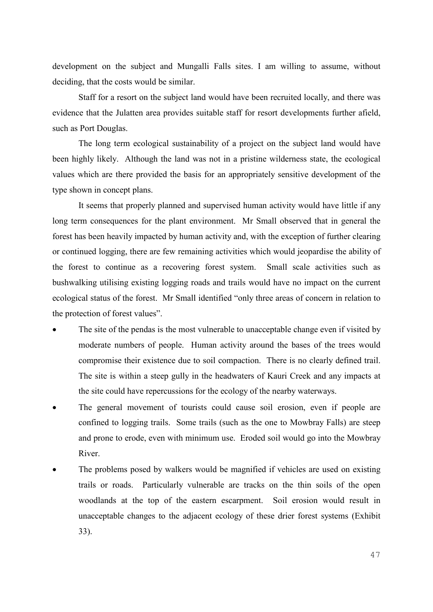development on the subject and Mungalli Falls sites. I am willing to assume, without deciding, that the costs would be similar.

Staff for a resort on the subject land would have been recruited locally, and there was evidence that the Julatten area provides suitable staff for resort developments further afield, such as Port Douglas.

The long term ecological sustainability of a project on the subject land would have been highly likely. Although the land was not in a pristine wilderness state, the ecological values which are there provided the basis for an appropriately sensitive development of the type shown in concept plans.

It seems that properly planned and supervised human activity would have little if any long term consequences for the plant environment. Mr Small observed that in general the forest has been heavily impacted by human activity and, with the exception of further clearing or continued logging, there are few remaining activities which would jeopardise the ability of the forest to continue as a recovering forest system. Small scale activities such as bushwalking utilising existing logging roads and trails would have no impact on the current ecological status of the forest. Mr Small identified "only three areas of concern in relation to the protection of forest values".

- The site of the pendas is the most vulnerable to unacceptable change even if visited by moderate numbers of people. Human activity around the bases of the trees would compromise their existence due to soil compaction. There is no clearly defined trail. The site is within a steep gully in the headwaters of Kauri Creek and any impacts at the site could have repercussions for the ecology of the nearby waterways.
- The general movement of tourists could cause soil erosion, even if people are confined to logging trails. Some trails (such as the one to Mowbray Falls) are steep and prone to erode, even with minimum use. Eroded soil would go into the Mowbray River.
- The problems posed by walkers would be magnified if vehicles are used on existing trails or roads. Particularly vulnerable are tracks on the thin soils of the open woodlands at the top of the eastern escarpment. Soil erosion would result in unacceptable changes to the adjacent ecology of these drier forest systems (Exhibit 33).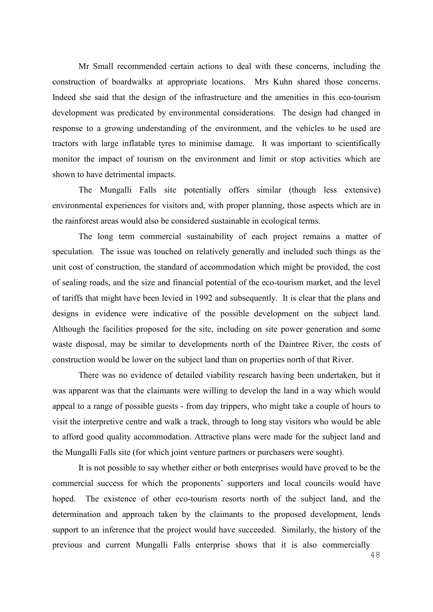Mr Small recommended certain actions to deal with these concerns, including the construction of boardwalks at appropriate locations. Mrs Kuhn shared those concerns. Indeed she said that the design of the infrastructure and the amenities in this eco-tourism development was predicated by environmental considerations. The design had changed in response to a growing understanding of the environment, and the vehicles to be used are tractors with large inflatable tyres to minimise damage. It was important to scientifically monitor the impact of tourism on the environment and limit or stop activities which are shown to have detrimental impacts.

The Mungalli Falls site potentially offers similar (though less extensive) environmental experiences for visitors and, with proper planning, those aspects which are in the rainforest areas would also be considered sustainable in ecological terms.

The long term commercial sustainability of each project remains a matter of speculation. The issue was touched on relatively generally and included such things as the unit cost of construction, the standard of accommodation which might be provided, the cost of sealing roads, and the size and financial potential of the eco-tourism market, and the level of tariffs that might have been levied in 1992 and subsequently. It is clear that the plans and designs in evidence were indicative of the possible development on the subject land. Although the facilities proposed for the site, including on site power generation and some waste disposal, may be similar to developments north of the Daintree River, the costs of construction would be lower on the subject land than on properties north of that River.

There was no evidence of detailed viability research having been undertaken, but it was apparent was that the claimants were willing to develop the land in a way which would appeal to a range of possible guests - from day trippers, who might take a couple of hours to visit the interpretive centre and walk a track, through to long stay visitors who would be able to afford good quality accommodation. Attractive plans were made for the subject land and the Mungalli Falls site (for which joint venture partners or purchasers were sought).

It is not possible to say whether either or both enterprises would have proved to be the commercial success for which the proponents' supporters and local councils would have hoped. The existence of other eco-tourism resorts north of the subject land, and the determination and approach taken by the claimants to the proposed development, lends support to an inference that the project would have succeeded. Similarly, the history of the previous and current Mungalli Falls enterprise shows that it is also commercially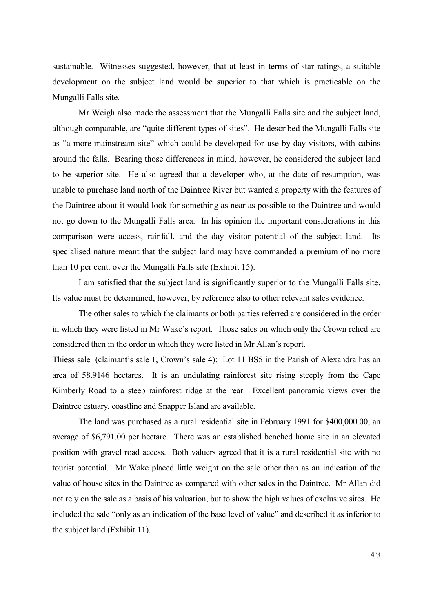sustainable. Witnesses suggested, however, that at least in terms of star ratings, a suitable development on the subject land would be superior to that which is practicable on the Mungalli Falls site.

Mr Weigh also made the assessment that the Mungalli Falls site and the subject land, although comparable, are "quite different types of sites". He described the Mungalli Falls site as "a more mainstream site" which could be developed for use by day visitors, with cabins around the falls. Bearing those differences in mind, however, he considered the subject land to be superior site. He also agreed that a developer who, at the date of resumption, was unable to purchase land north of the Daintree River but wanted a property with the features of the Daintree about it would look for something as near as possible to the Daintree and would not go down to the Mungalli Falls area. In his opinion the important considerations in this comparison were access, rainfall, and the day visitor potential of the subject land. Its specialised nature meant that the subject land may have commanded a premium of no more than 10 per cent. over the Mungalli Falls site (Exhibit 15).

I am satisfied that the subject land is significantly superior to the Mungalli Falls site. Its value must be determined, however, by reference also to other relevant sales evidence.

The other sales to which the claimants or both parties referred are considered in the order in which they were listed in Mr Wake's report. Those sales on which only the Crown relied are considered then in the order in which they were listed in Mr Allan's report.

Thiess sale (claimant's sale 1, Crown's sale 4): Lot 11 BS5 in the Parish of Alexandra has an area of 58.9146 hectares. It is an undulating rainforest site rising steeply from the Cape Kimberly Road to a steep rainforest ridge at the rear. Excellent panoramic views over the Daintree estuary, coastline and Snapper Island are available.

The land was purchased as a rural residential site in February 1991 for \$400,000.00, an average of \$6,791.00 per hectare. There was an established benched home site in an elevated position with gravel road access. Both valuers agreed that it is a rural residential site with no tourist potential. Mr Wake placed little weight on the sale other than as an indication of the value of house sites in the Daintree as compared with other sales in the Daintree. Mr Allan did not rely on the sale as a basis of his valuation, but to show the high values of exclusive sites. He included the sale "only as an indication of the base level of value" and described it as inferior to the subject land (Exhibit 11).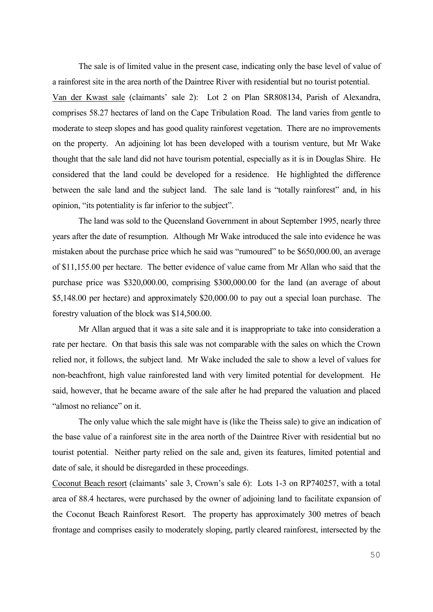The sale is of limited value in the present case, indicating only the base level of value of a rainforest site in the area north of the Daintree River with residential but no tourist potential. Van der Kwast sale (claimants' sale 2): Lot 2 on Plan SR808134, Parish of Alexandra, comprises 58.27 hectares of land on the Cape Tribulation Road. The land varies from gentle to moderate to steep slopes and has good quality rainforest vegetation. There are no improvements on the property. An adjoining lot has been developed with a tourism venture, but Mr Wake thought that the sale land did not have tourism potential, especially as it is in Douglas Shire. He considered that the land could be developed for a residence. He highlighted the difference between the sale land and the subject land. The sale land is "totally rainforest" and, in his opinion, "its potentiality is far inferior to the subject".

The land was sold to the Queensland Government in about September 1995, nearly three years after the date of resumption. Although Mr Wake introduced the sale into evidence he was mistaken about the purchase price which he said was "rumoured" to be \$650,000.00, an average of \$11,155.00 per hectare. The better evidence of value came from Mr Allan who said that the purchase price was \$320,000.00, comprising \$300,000.00 for the land (an average of about \$5,148.00 per hectare) and approximately \$20,000.00 to pay out a special loan purchase. The forestry valuation of the block was \$14,500.00.

Mr Allan argued that it was a site sale and it is inappropriate to take into consideration a rate per hectare. On that basis this sale was not comparable with the sales on which the Crown relied nor, it follows, the subject land. Mr Wake included the sale to show a level of values for non-beachfront, high value rainforested land with very limited potential for development. He said, however, that he became aware of the sale after he had prepared the valuation and placed "almost no reliance" on it.

The only value which the sale might have is (like the Theiss sale) to give an indication of the base value of a rainforest site in the area north of the Daintree River with residential but no tourist potential. Neither party relied on the sale and, given its features, limited potential and date of sale, it should be disregarded in these proceedings.

Coconut Beach resort (claimants' sale 3, Crown's sale 6): Lots 1-3 on RP740257, with a total area of 88.4 hectares, were purchased by the owner of adjoining land to facilitate expansion of the Coconut Beach Rainforest Resort. The property has approximately 300 metres of beach frontage and comprises easily to moderately sloping, partly cleared rainforest, intersected by the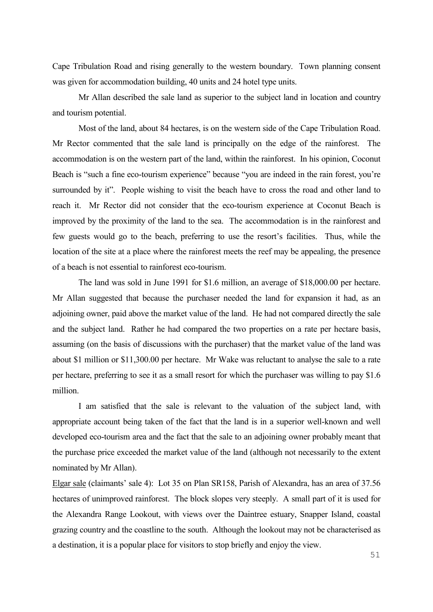Cape Tribulation Road and rising generally to the western boundary. Town planning consent was given for accommodation building, 40 units and 24 hotel type units.

Mr Allan described the sale land as superior to the subject land in location and country and tourism potential.

Most of the land, about 84 hectares, is on the western side of the Cape Tribulation Road. Mr Rector commented that the sale land is principally on the edge of the rainforest. The accommodation is on the western part of the land, within the rainforest. In his opinion, Coconut Beach is "such a fine eco-tourism experience" because "you are indeed in the rain forest, you're surrounded by it". People wishing to visit the beach have to cross the road and other land to reach it. Mr Rector did not consider that the eco-tourism experience at Coconut Beach is improved by the proximity of the land to the sea. The accommodation is in the rainforest and few guests would go to the beach, preferring to use the resort's facilities. Thus, while the location of the site at a place where the rainforest meets the reef may be appealing, the presence of a beach is not essential to rainforest eco-tourism.

The land was sold in June 1991 for \$1.6 million, an average of \$18,000.00 per hectare. Mr Allan suggested that because the purchaser needed the land for expansion it had, as an adjoining owner, paid above the market value of the land. He had not compared directly the sale and the subject land. Rather he had compared the two properties on a rate per hectare basis, assuming (on the basis of discussions with the purchaser) that the market value of the land was about \$1 million or \$11,300.00 per hectare. Mr Wake was reluctant to analyse the sale to a rate per hectare, preferring to see it as a small resort for which the purchaser was willing to pay \$1.6 million.

I am satisfied that the sale is relevant to the valuation of the subject land, with appropriate account being taken of the fact that the land is in a superior well-known and well developed eco-tourism area and the fact that the sale to an adjoining owner probably meant that the purchase price exceeded the market value of the land (although not necessarily to the extent nominated by Mr Allan).

Elgar sale (claimants' sale 4): Lot 35 on Plan SR158, Parish of Alexandra, has an area of 37.56 hectares of unimproved rainforest. The block slopes very steeply. A small part of it is used for the Alexandra Range Lookout, with views over the Daintree estuary, Snapper Island, coastal grazing country and the coastline to the south. Although the lookout may not be characterised as a destination, it is a popular place for visitors to stop briefly and enjoy the view.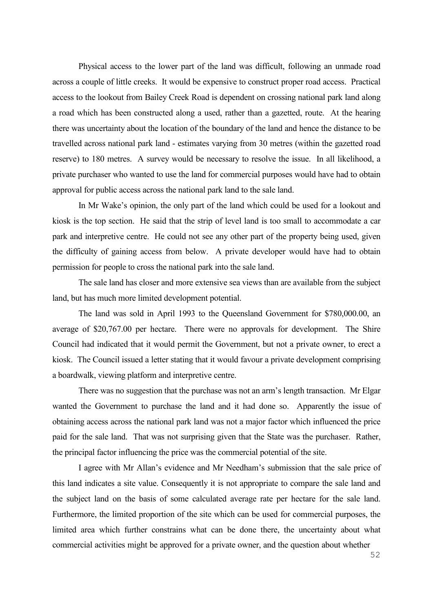Physical access to the lower part of the land was difficult, following an unmade road across a couple of little creeks. It would be expensive to construct proper road access. Practical access to the lookout from Bailey Creek Road is dependent on crossing national park land along a road which has been constructed along a used, rather than a gazetted, route. At the hearing there was uncertainty about the location of the boundary of the land and hence the distance to be travelled across national park land - estimates varying from 30 metres (within the gazetted road reserve) to 180 metres. A survey would be necessary to resolve the issue. In all likelihood, a private purchaser who wanted to use the land for commercial purposes would have had to obtain approval for public access across the national park land to the sale land.

In Mr Wake's opinion, the only part of the land which could be used for a lookout and kiosk is the top section. He said that the strip of level land is too small to accommodate a car park and interpretive centre. He could not see any other part of the property being used, given the difficulty of gaining access from below. A private developer would have had to obtain permission for people to cross the national park into the sale land.

The sale land has closer and more extensive sea views than are available from the subject land, but has much more limited development potential.

The land was sold in April 1993 to the Queensland Government for \$780,000.00, an average of \$20,767.00 per hectare. There were no approvals for development. The Shire Council had indicated that it would permit the Government, but not a private owner, to erect a kiosk. The Council issued a letter stating that it would favour a private development comprising a boardwalk, viewing platform and interpretive centre.

There was no suggestion that the purchase was not an arm's length transaction. Mr Elgar wanted the Government to purchase the land and it had done so. Apparently the issue of obtaining access across the national park land was not a major factor which influenced the price paid for the sale land. That was not surprising given that the State was the purchaser. Rather, the principal factor influencing the price was the commercial potential of the site.

I agree with Mr Allan's evidence and Mr Needham's submission that the sale price of this land indicates a site value. Consequently it is not appropriate to compare the sale land and the subject land on the basis of some calculated average rate per hectare for the sale land. Furthermore, the limited proportion of the site which can be used for commercial purposes, the limited area which further constrains what can be done there, the uncertainty about what commercial activities might be approved for a private owner, and the question about whether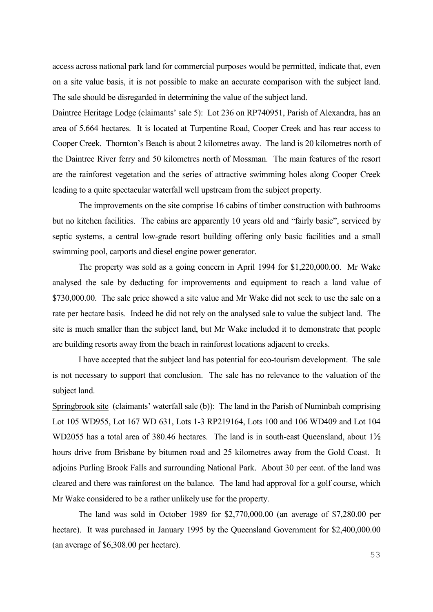access across national park land for commercial purposes would be permitted, indicate that, even on a site value basis, it is not possible to make an accurate comparison with the subject land. The sale should be disregarded in determining the value of the subject land.

Daintree Heritage Lodge (claimants' sale 5): Lot 236 on RP740951, Parish of Alexandra, has an area of 5.664 hectares. It is located at Turpentine Road, Cooper Creek and has rear access to Cooper Creek. Thornton's Beach is about 2 kilometres away. The land is 20 kilometres north of the Daintree River ferry and 50 kilometres north of Mossman. The main features of the resort are the rainforest vegetation and the series of attractive swimming holes along Cooper Creek leading to a quite spectacular waterfall well upstream from the subject property.

The improvements on the site comprise 16 cabins of timber construction with bathrooms but no kitchen facilities. The cabins are apparently 10 years old and "fairly basic", serviced by septic systems, a central low-grade resort building offering only basic facilities and a small swimming pool, carports and diesel engine power generator.

The property was sold as a going concern in April 1994 for \$1,220,000.00. Mr Wake analysed the sale by deducting for improvements and equipment to reach a land value of \$730,000.00. The sale price showed a site value and Mr Wake did not seek to use the sale on a rate per hectare basis. Indeed he did not rely on the analysed sale to value the subject land. The site is much smaller than the subject land, but Mr Wake included it to demonstrate that people are building resorts away from the beach in rainforest locations adjacent to creeks.

I have accepted that the subject land has potential for eco-tourism development. The sale is not necessary to support that conclusion. The sale has no relevance to the valuation of the subject land.

Springbrook site (claimants' waterfall sale (b)): The land in the Parish of Numinbah comprising Lot 105 WD955, Lot 167 WD 631, Lots 1-3 RP219164, Lots 100 and 106 WD409 and Lot 104 WD2055 has a total area of 380.46 hectares. The land is in south-east Queensland, about  $1\frac{1}{2}$ hours drive from Brisbane by bitumen road and 25 kilometres away from the Gold Coast. It adjoins Purling Brook Falls and surrounding National Park. About 30 per cent. of the land was cleared and there was rainforest on the balance. The land had approval for a golf course, which Mr Wake considered to be a rather unlikely use for the property.

The land was sold in October 1989 for \$2,770,000.00 (an average of \$7,280.00 per hectare). It was purchased in January 1995 by the Queensland Government for \$2,400,000.00 (an average of \$6,308.00 per hectare).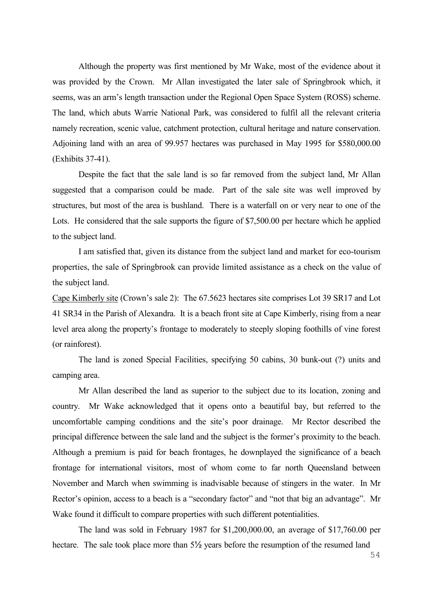Although the property was first mentioned by Mr Wake, most of the evidence about it was provided by the Crown. Mr Allan investigated the later sale of Springbrook which, it seems, was an arm's length transaction under the Regional Open Space System (ROSS) scheme. The land, which abuts Warrie National Park, was considered to fulfil all the relevant criteria namely recreation, scenic value, catchment protection, cultural heritage and nature conservation. Adjoining land with an area of 99.957 hectares was purchased in May 1995 for \$580,000.00 (Exhibits 37-41).

Despite the fact that the sale land is so far removed from the subject land, Mr Allan suggested that a comparison could be made. Part of the sale site was well improved by structures, but most of the area is bushland. There is a waterfall on or very near to one of the Lots. He considered that the sale supports the figure of \$7,500.00 per hectare which he applied to the subject land.

I am satisfied that, given its distance from the subject land and market for eco-tourism properties, the sale of Springbrook can provide limited assistance as a check on the value of the subject land.

Cape Kimberly site (Crown's sale 2): The 67.5623 hectares site comprises Lot 39 SR17 and Lot 41 SR34 in the Parish of Alexandra. It is a beach front site at Cape Kimberly, rising from a near level area along the property's frontage to moderately to steeply sloping foothills of vine forest (or rainforest).

The land is zoned Special Facilities, specifying 50 cabins, 30 bunk-out (?) units and camping area.

Mr Allan described the land as superior to the subject due to its location, zoning and country. Mr Wake acknowledged that it opens onto a beautiful bay, but referred to the uncomfortable camping conditions and the site's poor drainage. Mr Rector described the principal difference between the sale land and the subject is the former's proximity to the beach. Although a premium is paid for beach frontages, he downplayed the significance of a beach frontage for international visitors, most of whom come to far north Queensland between November and March when swimming is inadvisable because of stingers in the water. In Mr Rector's opinion, access to a beach is a "secondary factor" and "not that big an advantage". Mr Wake found it difficult to compare properties with such different potentialities.

The land was sold in February 1987 for \$1,200,000.00, an average of \$17,760.00 per hectare. The sale took place more than  $5\frac{1}{2}$  years before the resumption of the resumed land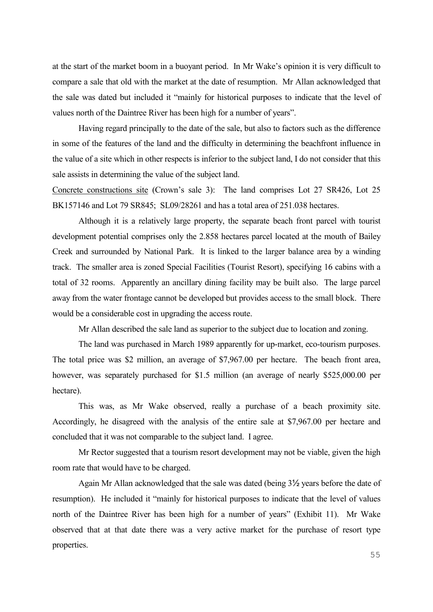at the start of the market boom in a buoyant period. In Mr Wake's opinion it is very difficult to compare a sale that old with the market at the date of resumption. Mr Allan acknowledged that the sale was dated but included it "mainly for historical purposes to indicate that the level of values north of the Daintree River has been high for a number of years".

Having regard principally to the date of the sale, but also to factors such as the difference in some of the features of the land and the difficulty in determining the beachfront influence in the value of a site which in other respects is inferior to the subject land, I do not consider that this sale assists in determining the value of the subject land.

Concrete constructions site (Crown's sale 3): The land comprises Lot 27 SR426, Lot 25 BK157146 and Lot 79 SR845; SL09/28261 and has a total area of 251.038 hectares.

Although it is a relatively large property, the separate beach front parcel with tourist development potential comprises only the 2.858 hectares parcel located at the mouth of Bailey Creek and surrounded by National Park. It is linked to the larger balance area by a winding track. The smaller area is zoned Special Facilities (Tourist Resort), specifying 16 cabins with a total of 32 rooms. Apparently an ancillary dining facility may be built also. The large parcel away from the water frontage cannot be developed but provides access to the small block. There would be a considerable cost in upgrading the access route.

Mr Allan described the sale land as superior to the subject due to location and zoning.

The land was purchased in March 1989 apparently for up-market, eco-tourism purposes. The total price was \$2 million, an average of \$7,967.00 per hectare. The beach front area, however, was separately purchased for \$1.5 million (an average of nearly \$525,000.00 per hectare).

This was, as Mr Wake observed, really a purchase of a beach proximity site. Accordingly, he disagreed with the analysis of the entire sale at \$7,967.00 per hectare and concluded that it was not comparable to the subject land. I agree.

Mr Rector suggested that a tourism resort development may not be viable, given the high room rate that would have to be charged.

Again Mr Allan acknowledged that the sale was dated (being 3½ years before the date of resumption). He included it "mainly for historical purposes to indicate that the level of values north of the Daintree River has been high for a number of years" (Exhibit 11). Mr Wake observed that at that date there was a very active market for the purchase of resort type properties.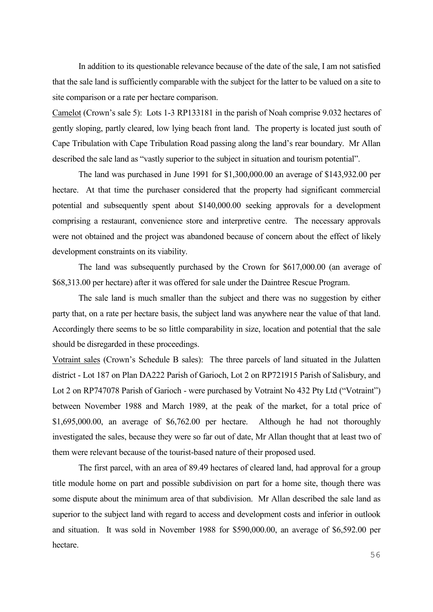In addition to its questionable relevance because of the date of the sale, I am not satisfied that the sale land is sufficiently comparable with the subject for the latter to be valued on a site to site comparison or a rate per hectare comparison.

Camelot (Crown's sale 5): Lots 1-3 RP133181 in the parish of Noah comprise 9.032 hectares of gently sloping, partly cleared, low lying beach front land. The property is located just south of Cape Tribulation with Cape Tribulation Road passing along the land's rear boundary. Mr Allan described the sale land as "vastly superior to the subject in situation and tourism potential".

The land was purchased in June 1991 for \$1,300,000.00 an average of \$143,932.00 per hectare. At that time the purchaser considered that the property had significant commercial potential and subsequently spent about \$140,000.00 seeking approvals for a development comprising a restaurant, convenience store and interpretive centre. The necessary approvals were not obtained and the project was abandoned because of concern about the effect of likely development constraints on its viability.

The land was subsequently purchased by the Crown for \$617,000.00 (an average of \$68,313.00 per hectare) after it was offered for sale under the Daintree Rescue Program.

The sale land is much smaller than the subject and there was no suggestion by either party that, on a rate per hectare basis, the subject land was anywhere near the value of that land. Accordingly there seems to be so little comparability in size, location and potential that the sale should be disregarded in these proceedings.

Votraint sales (Crown's Schedule B sales): The three parcels of land situated in the Julatten district - Lot 187 on Plan DA222 Parish of Garioch, Lot 2 on RP721915 Parish of Salisbury, and Lot 2 on RP747078 Parish of Garioch - were purchased by Votraint No 432 Pty Ltd ("Votraint") between November 1988 and March 1989, at the peak of the market, for a total price of \$1,695,000.00, an average of \$6,762.00 per hectare. Although he had not thoroughly investigated the sales, because they were so far out of date, Mr Allan thought that at least two of them were relevant because of the tourist-based nature of their proposed used.

The first parcel, with an area of 89.49 hectares of cleared land, had approval for a group title module home on part and possible subdivision on part for a home site, though there was some dispute about the minimum area of that subdivision. Mr Allan described the sale land as superior to the subject land with regard to access and development costs and inferior in outlook and situation. It was sold in November 1988 for \$590,000.00, an average of \$6,592.00 per hectare.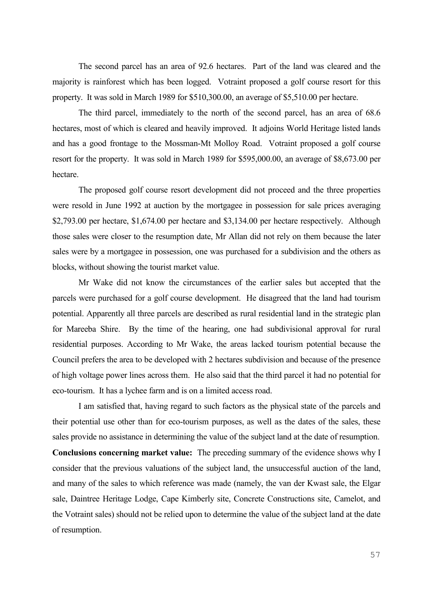The second parcel has an area of 92.6 hectares. Part of the land was cleared and the majority is rainforest which has been logged. Votraint proposed a golf course resort for this property. It was sold in March 1989 for \$510,300.00, an average of \$5,510.00 per hectare.

The third parcel, immediately to the north of the second parcel, has an area of 68.6 hectares, most of which is cleared and heavily improved. It adjoins World Heritage listed lands and has a good frontage to the Mossman-Mt Molloy Road. Votraint proposed a golf course resort for the property. It was sold in March 1989 for \$595,000.00, an average of \$8,673.00 per hectare.

The proposed golf course resort development did not proceed and the three properties were resold in June 1992 at auction by the mortgagee in possession for sale prices averaging \$2,793.00 per hectare, \$1,674.00 per hectare and \$3,134.00 per hectare respectively. Although those sales were closer to the resumption date, Mr Allan did not rely on them because the later sales were by a mortgagee in possession, one was purchased for a subdivision and the others as blocks, without showing the tourist market value.

Mr Wake did not know the circumstances of the earlier sales but accepted that the parcels were purchased for a golf course development. He disagreed that the land had tourism potential. Apparently all three parcels are described as rural residential land in the strategic plan for Mareeba Shire. By the time of the hearing, one had subdivisional approval for rural residential purposes. According to Mr Wake, the areas lacked tourism potential because the Council prefers the area to be developed with 2 hectares subdivision and because of the presence of high voltage power lines across them. He also said that the third parcel it had no potential for eco-tourism. It has a lychee farm and is on a limited access road.

I am satisfied that, having regard to such factors as the physical state of the parcels and their potential use other than for eco-tourism purposes, as well as the dates of the sales, these sales provide no assistance in determining the value of the subject land at the date of resumption. **Conclusions concerning market value:** The preceding summary of the evidence shows why I consider that the previous valuations of the subject land, the unsuccessful auction of the land, and many of the sales to which reference was made (namely, the van der Kwast sale, the Elgar sale, Daintree Heritage Lodge, Cape Kimberly site, Concrete Constructions site, Camelot, and the Votraint sales) should not be relied upon to determine the value of the subject land at the date of resumption.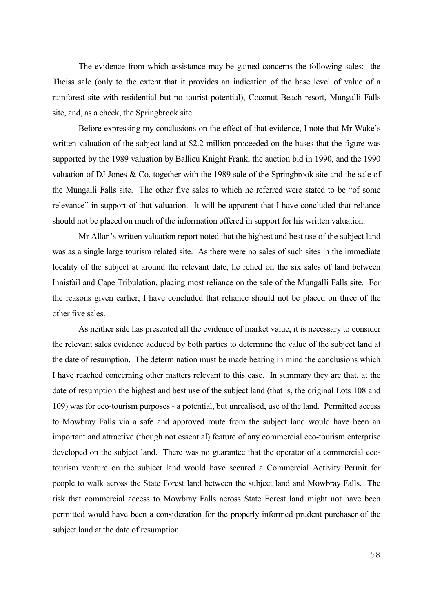The evidence from which assistance may be gained concerns the following sales: the Theiss sale (only to the extent that it provides an indication of the base level of value of a rainforest site with residential but no tourist potential), Coconut Beach resort, Mungalli Falls site, and, as a check, the Springbrook site.

Before expressing my conclusions on the effect of that evidence, I note that Mr Wake's written valuation of the subject land at \$2.2 million proceeded on the bases that the figure was supported by the 1989 valuation by Ballieu Knight Frank, the auction bid in 1990, and the 1990 valuation of DJ Jones & Co, together with the 1989 sale of the Springbrook site and the sale of the Mungalli Falls site. The other five sales to which he referred were stated to be "of some relevance" in support of that valuation. It will be apparent that I have concluded that reliance should not be placed on much of the information offered in support for his written valuation.

Mr Allan's written valuation report noted that the highest and best use of the subject land was as a single large tourism related site. As there were no sales of such sites in the immediate locality of the subject at around the relevant date, he relied on the six sales of land between Innisfail and Cape Tribulation, placing most reliance on the sale of the Mungalli Falls site. For the reasons given earlier, I have concluded that reliance should not be placed on three of the other five sales.

As neither side has presented all the evidence of market value, it is necessary to consider the relevant sales evidence adduced by both parties to determine the value of the subject land at the date of resumption. The determination must be made bearing in mind the conclusions which I have reached concerning other matters relevant to this case. In summary they are that, at the date of resumption the highest and best use of the subject land (that is, the original Lots 108 and 109) was for eco-tourism purposes - a potential, but unrealised, use of the land. Permitted access to Mowbray Falls via a safe and approved route from the subject land would have been an important and attractive (though not essential) feature of any commercial eco-tourism enterprise developed on the subject land. There was no guarantee that the operator of a commercial ecotourism venture on the subject land would have secured a Commercial Activity Permit for people to walk across the State Forest land between the subject land and Mowbray Falls. The risk that commercial access to Mowbray Falls across State Forest land might not have been permitted would have been a consideration for the properly informed prudent purchaser of the subject land at the date of resumption.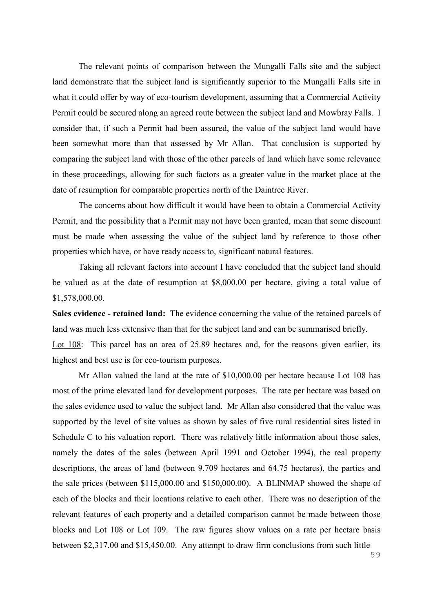The relevant points of comparison between the Mungalli Falls site and the subject land demonstrate that the subject land is significantly superior to the Mungalli Falls site in what it could offer by way of eco-tourism development, assuming that a Commercial Activity Permit could be secured along an agreed route between the subject land and Mowbray Falls. I consider that, if such a Permit had been assured, the value of the subject land would have been somewhat more than that assessed by Mr Allan. That conclusion is supported by comparing the subject land with those of the other parcels of land which have some relevance in these proceedings, allowing for such factors as a greater value in the market place at the date of resumption for comparable properties north of the Daintree River.

The concerns about how difficult it would have been to obtain a Commercial Activity Permit, and the possibility that a Permit may not have been granted, mean that some discount must be made when assessing the value of the subject land by reference to those other properties which have, or have ready access to, significant natural features.

Taking all relevant factors into account I have concluded that the subject land should be valued as at the date of resumption at \$8,000.00 per hectare, giving a total value of \$1,578,000.00.

**Sales evidence - retained land:** The evidence concerning the value of the retained parcels of land was much less extensive than that for the subject land and can be summarised briefly. Lot 108: This parcel has an area of 25.89 hectares and, for the reasons given earlier, its highest and best use is for eco-tourism purposes.

Mr Allan valued the land at the rate of \$10,000.00 per hectare because Lot 108 has most of the prime elevated land for development purposes. The rate per hectare was based on the sales evidence used to value the subject land. Mr Allan also considered that the value was supported by the level of site values as shown by sales of five rural residential sites listed in Schedule C to his valuation report. There was relatively little information about those sales, namely the dates of the sales (between April 1991 and October 1994), the real property descriptions, the areas of land (between 9.709 hectares and 64.75 hectares), the parties and the sale prices (between \$115,000.00 and \$150,000.00). A BLINMAP showed the shape of each of the blocks and their locations relative to each other. There was no description of the relevant features of each property and a detailed comparison cannot be made between those blocks and Lot 108 or Lot 109. The raw figures show values on a rate per hectare basis between \$2,317.00 and \$15,450.00. Any attempt to draw firm conclusions from such little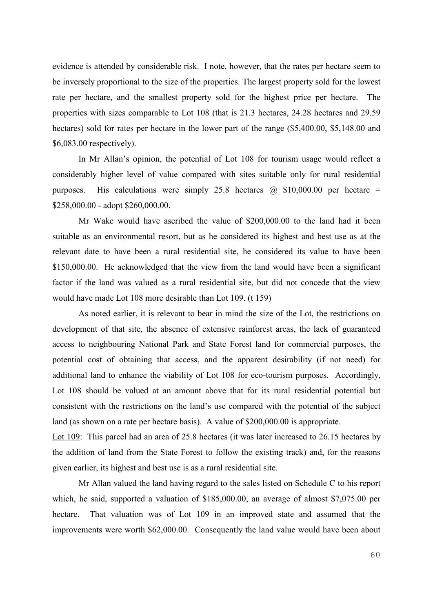evidence is attended by considerable risk. I note, however, that the rates per hectare seem to be inversely proportional to the size of the properties. The largest property sold for the lowest rate per hectare, and the smallest property sold for the highest price per hectare. The properties with sizes comparable to Lot 108 (that is 21.3 hectares, 24.28 hectares and 29.59 hectares) sold for rates per hectare in the lower part of the range (\$5,400.00, \$5,148.00 and \$6,083.00 respectively).

In Mr Allan's opinion, the potential of Lot 108 for tourism usage would reflect a considerably higher level of value compared with sites suitable only for rural residential purposes. His calculations were simply 25.8 hectares  $\omega$  \$10,000.00 per hectare = \$258,000.00 - adopt \$260,000.00.

Mr Wake would have ascribed the value of \$200,000.00 to the land had it been suitable as an environmental resort, but as he considered its highest and best use as at the relevant date to have been a rural residential site, he considered its value to have been \$150,000.00. He acknowledged that the view from the land would have been a significant factor if the land was valued as a rural residential site, but did not concede that the view would have made Lot 108 more desirable than Lot 109. (t 159)

As noted earlier, it is relevant to bear in mind the size of the Lot, the restrictions on development of that site, the absence of extensive rainforest areas, the lack of guaranteed access to neighbouring National Park and State Forest land for commercial purposes, the potential cost of obtaining that access, and the apparent desirability (if not need) for additional land to enhance the viability of Lot 108 for eco-tourism purposes. Accordingly, Lot 108 should be valued at an amount above that for its rural residential potential but consistent with the restrictions on the land's use compared with the potential of the subject land (as shown on a rate per hectare basis). A value of \$200,000.00 is appropriate.

Lot 109: This parcel had an area of 25.8 hectares (it was later increased to 26.15 hectares by the addition of land from the State Forest to follow the existing track) and, for the reasons given earlier, its highest and best use is as a rural residential site.

Mr Allan valued the land having regard to the sales listed on Schedule C to his report which, he said, supported a valuation of \$185,000.00, an average of almost \$7,075.00 per hectare. That valuation was of Lot 109 in an improved state and assumed that the improvements were worth \$62,000.00. Consequently the land value would have been about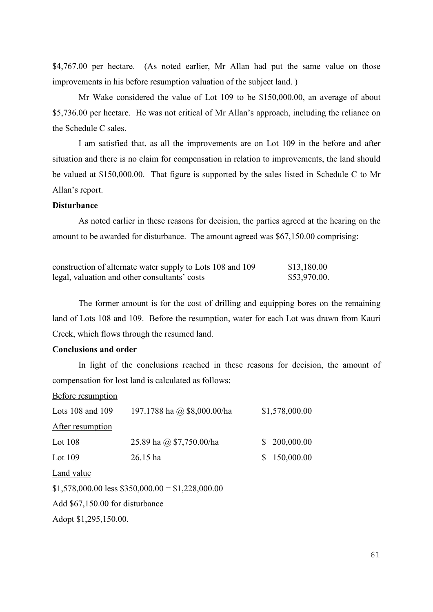\$4,767.00 per hectare. (As noted earlier, Mr Allan had put the same value on those improvements in his before resumption valuation of the subject land. )

Mr Wake considered the value of Lot 109 to be \$150,000.00, an average of about \$5,736.00 per hectare. He was not critical of Mr Allan's approach, including the reliance on the Schedule C sales.

I am satisfied that, as all the improvements are on Lot 109 in the before and after situation and there is no claim for compensation in relation to improvements, the land should be valued at \$150,000.00. That figure is supported by the sales listed in Schedule C to Mr Allan's report.

## **Disturbance**

As noted earlier in these reasons for decision, the parties agreed at the hearing on the amount to be awarded for disturbance. The amount agreed was \$67,150.00 comprising:

| construction of alternate water supply to Lots 108 and 109 | \$13,180.00  |
|------------------------------------------------------------|--------------|
| legal, valuation and other consultants' costs              | \$53,970.00. |

The former amount is for the cost of drilling and equipping bores on the remaining land of Lots 108 and 109. Before the resumption, water for each Lot was drawn from Kauri Creek, which flows through the resumed land.

## **Conclusions and order**

In light of the conclusions reached in these reasons for decision, the amount of compensation for lost land is calculated as follows:

| 197.1788 ha @ \$8,000.00/ha                        | \$1,578,000.00   |
|----------------------------------------------------|------------------|
|                                                    |                  |
| 25.89 ha @ \$7,750.00/ha                           | \$<br>200,000.00 |
| $26.15$ ha                                         | \$<br>150,000.00 |
|                                                    |                  |
| $$1,578,000.00$ less $$350,000.00 = $1,228,000.00$ |                  |
| Add \$67,150.00 for disturbance                    |                  |
| Adopt \$1,295,150.00.                              |                  |
|                                                    |                  |